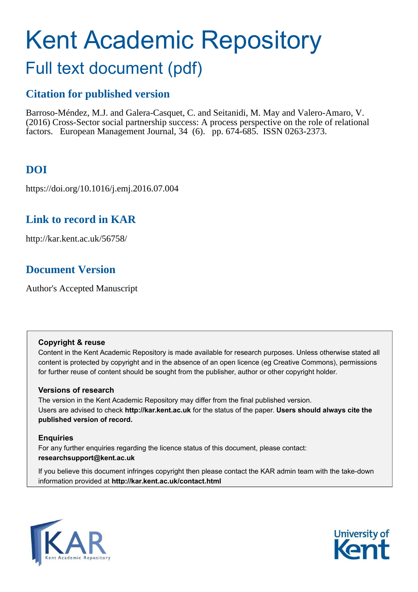# Kent Academic Repository Full text document (pdf)

# **Citation for published version**

Barroso-Méndez, M.J. and Galera-Casquet, C. and Seitanidi, M. May and Valero-Amaro, V. (2016) Cross-Sector social partnership success: A process perspective on the role of relational factors. European Management Journal, 34 (6). pp. 674-685. ISSN 0263-2373.

# **DOI**

https://doi.org/10.1016/j.emj.2016.07.004

# **Link to record in KAR**

http://kar.kent.ac.uk/56758/

# **Document Version**

Author's Accepted Manuscript

# **Copyright & reuse**

Content in the Kent Academic Repository is made available for research purposes. Unless otherwise stated all content is protected by copyright and in the absence of an open licence (eg Creative Commons), permissions for further reuse of content should be sought from the publisher, author or other copyright holder.

# **Versions of research**

The version in the Kent Academic Repository may differ from the final published version. Users are advised to check **http://kar.kent.ac.uk** for the status of the paper. **Users should always cite the published version of record.**

# **Enquiries**

For any further enquiries regarding the licence status of this document, please contact: **researchsupport@kent.ac.uk**

If you believe this document infringes copyright then please contact the KAR admin team with the take-down information provided at **http://kar.kent.ac.uk/contact.html**



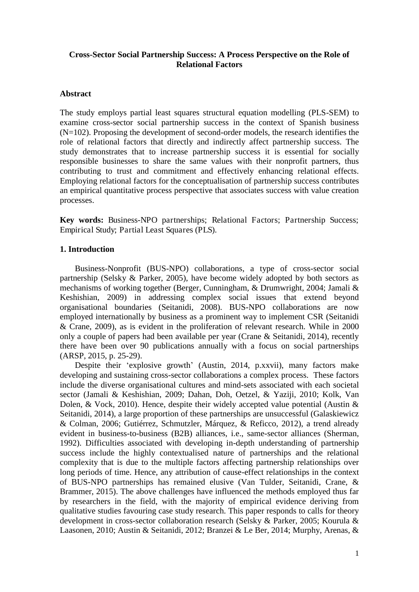# **Cross-Sector Social Partnership Success: A Process Perspective on the Role of Relational Factors**

#### **Abstract**

The study employs partial least squares structural equation modelling (PLS-SEM) to examine cross-sector social partnership success in the context of Spanish business  $(N=102)$ . Proposing the development of second-order models, the research identifies the role of relational factors that directly and indirectly affect partnership success. The study demonstrates that to increase partnership success it is essential for socially responsible businesses to share the same values with their nonprofit partners, thus contributing to trust and commitment and effectively enhancing relational effects. Employing relational factors for the conceptualisation of partnership success contributes an empirical quantitative process perspective that associates success with value creation processes.

**Key words:** Business-NPO partnerships; Relational Factors; Partnership Success; Empirical Study; Partial Least Squares (PLS).

# **1. Introduction**

Business-Nonprofit (BUS-NPO) collaborations, a type of cross-sector social partnership (Selsky & Parker, 2005), have become widely adopted by both sectors as mechanisms of working together (Berger, Cunningham, & Drumwright, 2004; Jamali & Keshishian, 2009) in addressing complex social issues that extend beyond organisational boundaries (Seitanidi, 2008). BUS-NPO collaborations are now employed internationally by business as a prominent way to implement CSR (Seitanidi & Crane, 2009), as is evident in the proliferation of relevant research. While in 2000 only a couple of papers had been available per year (Crane & Seitanidi, 2014), recently there have been over 90 publications annually with a focus on social partnerships (ARSP, 2015, p. 25-29).

Despite their 'explosive growth' (Austin, 2014, p.xxvii), many factors make developing and sustaining cross-sector collaborations a complex process. These factors include the diverse organisational cultures and mind-sets associated with each societal sector (Jamali & Keshishian, 2009; Dahan, Doh, Oetzel, & Yaziji, 2010; Kolk, Van Dolen, & Vock, 2010). Hence, despite their widely accepted value potential (Austin & Seitanidi, 2014), a large proportion of these partnerships are unsuccessful (Galaskiewicz & Colman, 2006; Gutiérrez, Schmutzler, Márquez, & Reficco, 2012), a trend already evident in business-to-business (B2B) alliances, i.e., same-sector alliances (Sherman, 1992). Difficulties associated with developing in-depth understanding of partnership success include the highly contextualised nature of partnerships and the relational complexity that is due to the multiple factors affecting partnership relationships over long periods of time. Hence, any attribution of cause-effect relationships in the context of BUS-NPO partnerships has remained elusive (Van Tulder, Seitanidi, Crane, & Brammer, 2015). The above challenges have influenced the methods employed thus far by researchers in the field, with the majority of empirical evidence deriving from qualitative studies favouring case study research. This paper responds to calls for theory development in cross-sector collaboration research (Selsky & Parker, 2005; Kourula & Laasonen, 2010; Austin & Seitanidi, 2012; Branzei & Le Ber, 2014; Murphy, Arenas, &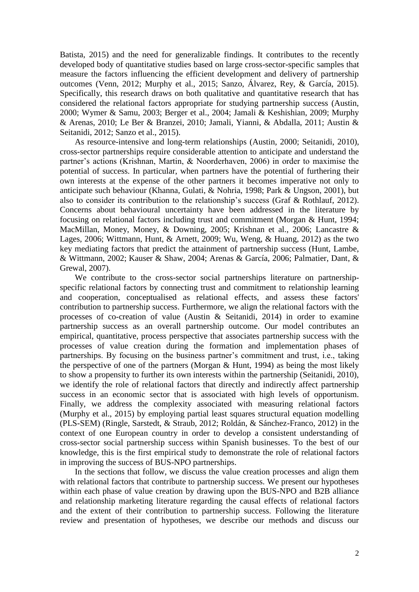Batista, 2015) and the need for generalizable findings. It contributes to the recently developed body of quantitative studies based on large cross-sector-specific samples that measure the factors influencing the efficient development and delivery of partnership outcomes (Venn, 2012; Murphy et al., 2015; Sanzo, Álvarez, Rey, & García, 2015). Specifically, this research draws on both qualitative and quantitative research that has considered the relational factors appropriate for studying partnership success (Austin, 2000; Wymer & Samu, 2003; Berger et al., 2004; Jamali & Keshishian, 2009; Murphy & Arenas, 2010; Le Ber & Branzei, 2010; Jamali, Yianni, & Abdalla, 2011; Austin & Seitanidi, 2012; Sanzo et al., 2015).

As resource-intensive and long-term relationships (Austin, 2000; Seitanidi, 2010), cross-sector partnerships require considerable attention to anticipate and understand the partner's actions (Krishnan, Martin, & Noorderhaven, 2006) in order to maximise the potential of success. In particular, when partners have the potential of furthering their own interests at the expense of the other partners it becomes imperative not only to anticipate such behaviour (Khanna, Gulati, & Nohria, 1998; Park & Ungson, 2001), but also to consider its contribution to the relationship's success (Graf & Rothlauf, 2012). Concerns about behavioural uncertainty have been addressed in the literature by focusing on relational factors including trust and commitment (Morgan & Hunt, 1994; MacMillan, Money, Money, & Downing, 2005; Krishnan et al., 2006; Lancastre & Lages, 2006; Wittmann, Hunt, & Arnett, 2009; Wu, Weng, & Huang, 2012) as the two key mediating factors that predict the attainment of partnership success (Hunt, Lambe, & Wittmann, 2002; Kauser & Shaw, 2004; Arenas & García, 2006; Palmatier, Dant, & Grewal, 2007).

We contribute to the cross-sector social partnerships literature on partnershipspecific relational factors by connecting trust and commitment to relationship learning and cooperation, conceptualised as relational effects, and assess these factors' contribution to partnership success. Furthermore, we align the relational factors with the processes of co-creation of value (Austin & Seitanidi, 2014) in order to examine partnership success as an overall partnership outcome. Our model contributes an empirical, quantitative, process perspective that associates partnership success with the processes of value creation during the formation and implementation phases of partnerships. By focusing on the business partner's commitment and trust, i.e., taking the perspective of one of the partners (Morgan & Hunt, 1994) as being the most likely to show a propensity to further its own interests within the partnership (Seitanidi, 2010), we identify the role of relational factors that directly and indirectly affect partnership success in an economic sector that is associated with high levels of opportunism. Finally, we address the complexity associated with measuring relational factors (Murphy et al., 2015) by employing partial least squares structural equation modelling (PLS-SEM) (Ringle, Sarstedt, & Straub, 2012; Roldán, & Sánchez-Franco, 2012) in the context of one European country in order to develop a consistent understanding of cross-sector social partnership success within Spanish businesses. To the best of our knowledge, this is the first empirical study to demonstrate the role of relational factors in improving the success of BUS-NPO partnerships.

In the sections that follow, we discuss the value creation processes and align them with relational factors that contribute to partnership success. We present our hypotheses within each phase of value creation by drawing upon the BUS-NPO and B2B alliance and relationship marketing literature regarding the causal effects of relational factors and the extent of their contribution to partnership success. Following the literature review and presentation of hypotheses, we describe our methods and discuss our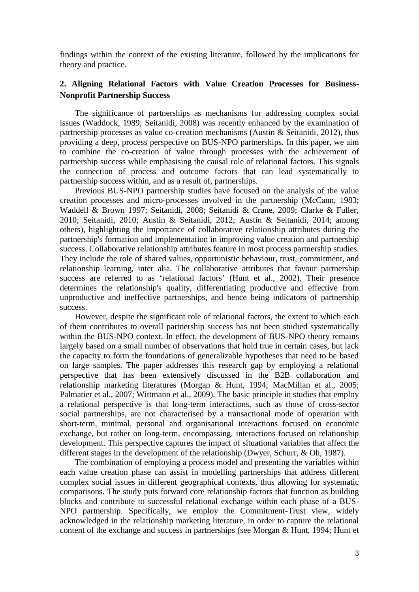findings within the context of the existing literature, followed by the implications for theory and practice.

# **2. Aligning Relational Factors with Value Creation Processes for Business-Nonprofit Partnership Success**

The significance of partnerships as mechanisms for addressing complex social issues (Waddock, 1989; Seitanidi, 2008) was recently enhanced by the examination of partnership processes as value co-creation mechanisms (Austin & Seitanidi, 2012), thus providing a deep, process perspective on BUS-NPO partnerships. In this paper, we aim to combine the co-creation of value through processes with the achievement of partnership success while emphasising the causal role of relational factors. This signals the connection of process and outcome factors that can lead systematically to partnership success within, and as a result of, partnerships.

Previous BUS-NPO partnership studies have focused on the analysis of the value creation processes and micro-processes involved in the partnership (McCann, 1983; Waddell & Brown 1997; Seitanidi, 2008; Seitanidi & Crane, 2009; Clarke & Fuller, 2010; Seitanidi, 2010; Austin & Seitanidi, 2012; Austin & Seitanidi, 2014; among others), highlighting the importance of collaborative relationship attributes during the partnership's formation and implementation in improving value creation and partnership success. Collaborative relationship attributes feature in most process partnership studies. They include the role of shared values, opportunistic behaviour, trust, commitment, and relationship learning, inter alia. The collaborative attributes that favour partnership success are referred to as 'relational factors' (Hunt et al., 2002). Their presence determines the relationship's quality, differentiating productive and effective from unproductive and ineffective partnerships, and hence being indicators of partnership success.

However, despite the significant role of relational factors, the extent to which each of them contributes to overall partnership success has not been studied systematically within the BUS-NPO context. In effect, the development of BUS-NPO theory remains largely based on a small number of observations that hold true in certain cases, but lack the capacity to form the foundations of generalizable hypotheses that need to be based on large samples. The paper addresses this research gap by employing a relational perspective that has been extensively discussed in the B2B collaboration and relationship marketing literatures (Morgan & Hunt, 1994; MacMillan et al., 2005; Palmatier et al., 2007; Wittmann et al., 2009). The basic principle in studies that employ a relational perspective is that long-term interactions, such as those of cross-sector social partnerships, are not characterised by a transactional mode of operation with short-term, minimal, personal and organisational interactions focused on economic exchange, but rather on long-term, encompassing, interactions focused on relationship development. This perspective captures the impact of situational variables that affect the different stages in the development of the relationship (Dwyer, Schurr, & Oh, 1987).

The combination of employing a process model and presenting the variables within each value creation phase can assist in modelling partnerships that address different complex social issues in different geographical contexts, thus allowing for systematic comparisons. The study puts forward core relationship factors that function as building blocks and contribute to successful relational exchange within each phase of a BUS-NPO partnership. Specifically, we employ the Commitment-Trust view, widely acknowledged in the relationship marketing literature, in order to capture the relational content of the exchange and success in partnerships (see Morgan & Hunt, 1994; Hunt et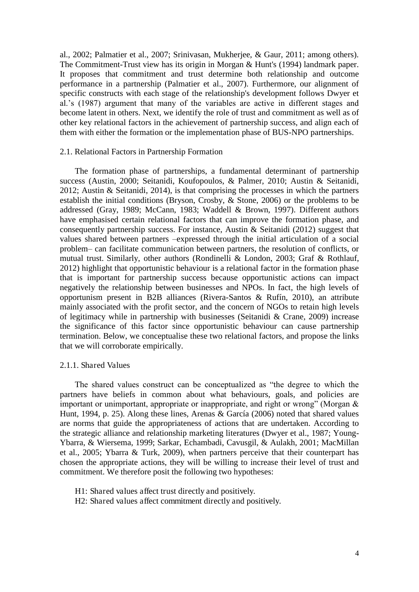al., 2002; Palmatier et al., 2007; Srinivasan, Mukherjee, & Gaur, 2011; among others). The Commitment-Trust view has its origin in Morgan & Hunt's (1994) landmark paper. It proposes that commitment and trust determine both relationship and outcome performance in a partnership (Palmatier et al., 2007). Furthermore, our alignment of specific constructs with each stage of the relationship's development follows Dwyer et al.'s (1987) argument that many of the variables are active in different stages and become latent in others. Next, we identify the role of trust and commitment as well as of other key relational factors in the achievement of partnership success, and align each of them with either the formation or the implementation phase of BUS-NPO partnerships.

#### 2.1. Relational Factors in Partnership Formation

The formation phase of partnerships, a fundamental determinant of partnership success (Austin, 2000; Seitanidi, Koufopoulos, & Palmer, 2010; Austin & Seitanidi, 2012; Austin & Seitanidi, 2014), is that comprising the processes in which the partners establish the initial conditions (Bryson, Crosby, & Stone, 2006) or the problems to be addressed (Gray, 1989; McCann, 1983; Waddell & Brown, 1997). Different authors have emphasised certain relational factors that can improve the formation phase, and consequently partnership success. For instance, Austin & Seitanidi (2012) suggest that values shared between partners –expressed through the initial articulation of a social problem– can facilitate communication between partners, the resolution of conflicts, or mutual trust. Similarly, other authors (Rondinelli & London, 2003; Graf & Rothlauf, 2012) highlight that opportunistic behaviour is a relational factor in the formation phase that is important for partnership success because opportunistic actions can impact negatively the relationship between businesses and NPOs. In fact, the high levels of opportunism present in B2B alliances (Rivera-Santos & Rufín, 2010), an attribute mainly associated with the profit sector, and the concern of NGOs to retain high levels of legitimacy while in partnership with businesses (Seitanidi & Crane, 2009) increase the significance of this factor since opportunistic behaviour can cause partnership termination. Below, we conceptualise these two relational factors, and propose the links that we will corroborate empirically.

#### 2.1.1. Shared Values

The shared values construct can be conceptualized as "the degree to which the partners have beliefs in common about what behaviours, goals, and policies are important or unimportant, appropriate or inappropriate, and right or wrong" (Morgan & Hunt, 1994, p. 25). Along these lines, Arenas & García (2006) noted that shared values are norms that guide the appropriateness of actions that are undertaken. According to the strategic alliance and relationship marketing literatures (Dwyer et al., 1987; Young-Ybarra, & Wiersema, 1999; Sarkar, Echambadi, Cavusgil, & Aulakh, 2001; MacMillan et al., 2005; Ybarra & Turk, 2009), when partners perceive that their counterpart has chosen the appropriate actions, they will be willing to increase their level of trust and commitment. We therefore posit the following two hypotheses:

- H1: Shared values affect trust directly and positively.
- H2: Shared values affect commitment directly and positively.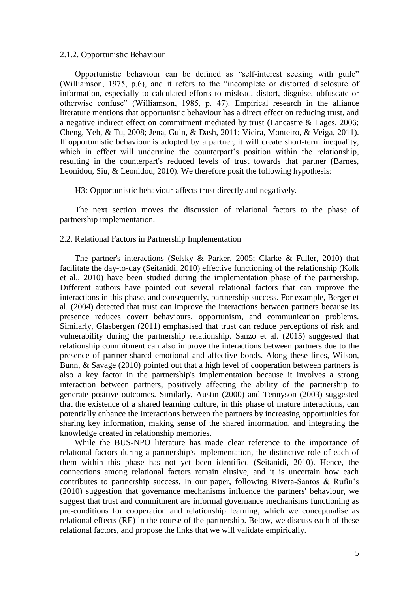#### 2.1.2. Opportunistic Behaviour

Opportunistic behaviour can be defined as "self-interest seeking with guile" (Williamson, 1975, p.6), and it refers to the "incomplete or distorted disclosure of information, especially to calculated efforts to mislead, distort, disguise, obfuscate or otherwise confuse" (Williamson, 1985, p. 47). Empirical research in the alliance literature mentions that opportunistic behaviour has a direct effect on reducing trust, and a negative indirect effect on commitment mediated by trust (Lancastre & Lages, 2006; Cheng, Yeh, & Tu, 2008; Jena, Guin, & Dash, 2011; Vieira, Monteiro, & Veiga, 2011). If opportunistic behaviour is adopted by a partner, it will create short-term inequality, which in effect will undermine the counterpart's position within the relationship, resulting in the counterpart's reduced levels of trust towards that partner (Barnes, Leonidou, Siu, & Leonidou, 2010). We therefore posit the following hypothesis:

H3: Opportunistic behaviour affects trust directly and negatively.

The next section moves the discussion of relational factors to the phase of partnership implementation.

#### 2.2. Relational Factors in Partnership Implementation

The partner's interactions (Selsky & Parker, 2005; Clarke & Fuller, 2010) that facilitate the day-to-day (Seitanidi, 2010) effective functioning of the relationship (Kolk et al., 2010) have been studied during the implementation phase of the partnership. Different authors have pointed out several relational factors that can improve the interactions in this phase, and consequently, partnership success. For example, Berger et al. (2004) detected that trust can improve the interactions between partners because its presence reduces covert behaviours, opportunism, and communication problems. Similarly, Glasbergen (2011) emphasised that trust can reduce perceptions of risk and vulnerability during the partnership relationship. Sanzo et al. (2015) suggested that relationship commitment can also improve the interactions between partners due to the presence of partner-shared emotional and affective bonds. Along these lines, Wilson, Bunn, & Savage (2010) pointed out that a high level of cooperation between partners is also a key factor in the partnership's implementation because it involves a strong interaction between partners, positively affecting the ability of the partnership to generate positive outcomes. Similarly, Austin (2000) and Tennyson (2003) suggested that the existence of a shared learning culture, in this phase of mature interactions, can potentially enhance the interactions between the partners by increasing opportunities for sharing key information, making sense of the shared information, and integrating the knowledge created in relationship memories.

While the BUS-NPO literature has made clear reference to the importance of relational factors during a partnership's implementation, the distinctive role of each of them within this phase has not yet been identified (Seitanidi, 2010). Hence, the connections among relational factors remain elusive, and it is uncertain how each contributes to partnership success. In our paper, following Rivera-Santos & Rufín's (2010) suggestion that governance mechanisms influence the partners' behaviour, we suggest that trust and commitment are informal governance mechanisms functioning as pre-conditions for cooperation and relationship learning, which we conceptualise as relational effects (RE) in the course of the partnership. Below, we discuss each of these relational factors, and propose the links that we will validate empirically.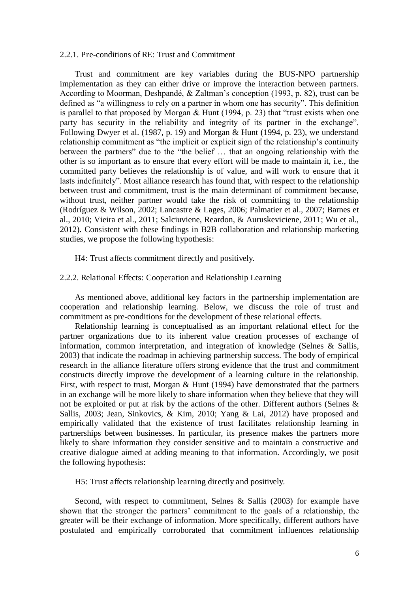## 2.2.1. Pre-conditions of RE: Trust and Commitment

Trust and commitment are key variables during the BUS-NPO partnership implementation as they can either drive or improve the interaction between partners. According to Moorman, Deshpandé, & Zaltman's conception (1993, p. 82), trust can be defined as "a willingness to rely on a partner in whom one has security". This definition is parallel to that proposed by Morgan & Hunt (1994, p. 23) that "trust exists when one party has security in the reliability and integrity of its partner in the exchange". Following Dwyer et al. (1987, p. 19) and Morgan & Hunt (1994, p. 23), we understand relationship commitment as "the implicit or explicit sign of the relationship's continuity between the partners" due to the "the belief … that an ongoing relationship with the other is so important as to ensure that every effort will be made to maintain it, i.e., the committed party believes the relationship is of value, and will work to ensure that it lasts indefinitely". Most alliance research has found that, with respect to the relationship between trust and commitment, trust is the main determinant of commitment because, without trust, neither partner would take the risk of committing to the relationship (Rodríguez & Wilson, 2002; Lancastre & Lages, 2006; Palmatier et al., 2007; Barnes et al., 2010; Vieira et al., 2011; Salciuviene, Reardon, & Auruskeviciene, 2011; Wu et al., 2012). Consistent with these findings in B2B collaboration and relationship marketing studies, we propose the following hypothesis:

H4: Trust affects commitment directly and positively.

#### 2.2.2. Relational Effects: Cooperation and Relationship Learning

As mentioned above, additional key factors in the partnership implementation are cooperation and relationship learning. Below, we discuss the role of trust and commitment as pre-conditions for the development of these relational effects.

Relationship learning is conceptualised as an important relational effect for the partner organizations due to its inherent value creation processes of exchange of information, common interpretation, and integration of knowledge (Selnes & Sallis, 2003) that indicate the roadmap in achieving partnership success. The body of empirical research in the alliance literature offers strong evidence that the trust and commitment constructs directly improve the development of a learning culture in the relationship. First, with respect to trust, Morgan & Hunt (1994) have demonstrated that the partners in an exchange will be more likely to share information when they believe that they will not be exploited or put at risk by the actions of the other. Different authors (Selnes & Sallis, 2003; Jean, Sinkovics, & Kim, 2010; Yang & Lai, 2012) have proposed and empirically validated that the existence of trust facilitates relationship learning in partnerships between businesses. In particular, its presence makes the partners more likely to share information they consider sensitive and to maintain a constructive and creative dialogue aimed at adding meaning to that information. Accordingly, we posit the following hypothesis:

H5: Trust affects relationship learning directly and positively.

Second, with respect to commitment, Selnes & Sallis (2003) for example have shown that the stronger the partners' commitment to the goals of a relationship, the greater will be their exchange of information. More specifically, different authors have postulated and empirically corroborated that commitment influences relationship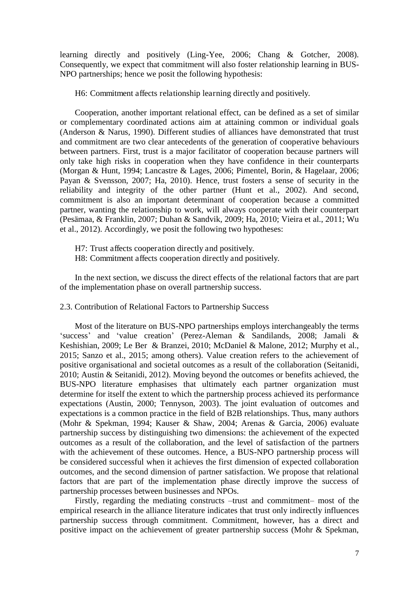learning directly and positively (Ling-Yee, 2006; Chang & Gotcher, 2008). Consequently, we expect that commitment will also foster relationship learning in BUS-NPO partnerships; hence we posit the following hypothesis:

H6: Commitment affects relationship learning directly and positively.

Cooperation, another important relational effect, can be defined as a set of similar or complementary coordinated actions aim at attaining common or individual goals (Anderson & Narus, 1990). Different studies of alliances have demonstrated that trust and commitment are two clear antecedents of the generation of cooperative behaviours between partners. First, trust is a major facilitator of cooperation because partners will only take high risks in cooperation when they have confidence in their counterparts (Morgan & Hunt, 1994; Lancastre & Lages, 2006; Pimentel, Borin, & Hagelaar, 2006; Payan & Svensson, 2007; Ha, 2010). Hence, trust fosters a sense of security in the reliability and integrity of the other partner (Hunt et al., 2002). And second, commitment is also an important determinant of cooperation because a committed partner, wanting the relationship to work, will always cooperate with their counterpart (Pesämaa, & Franklin, 2007; Duhan & Sandvik, 2009; Ha, 2010; Vieira et al., 2011; Wu et al., 2012). Accordingly, we posit the following two hypotheses:

H7: Trust affects cooperation directly and positively.

H8: Commitment affects cooperation directly and positively.

In the next section, we discuss the direct effects of the relational factors that are part of the implementation phase on overall partnership success.

2.3. Contribution of Relational Factors to Partnership Success

Most of the literature on BUS-NPO partnerships employs interchangeably the terms 'success' and 'value creation' (Perez-Aleman & Sandilands, 2008; Jamali & Keshishian, 2009; Le Ber & Branzei, 2010; McDaniel & Malone, 2012; Murphy et al., 2015; Sanzo et al., 2015; among others). Value creation refers to the achievement of positive organisational and societal outcomes as a result of the collaboration (Seitanidi, 2010; Austin & Seitanidi, 2012). Moving beyond the outcomes or benefits achieved, the BUS-NPO literature emphasises that ultimately each partner organization must determine for itself the extent to which the partnership process achieved its performance expectations (Austin, 2000; Tennyson, 2003). The joint evaluation of outcomes and expectations is a common practice in the field of B2B relationships. Thus, many authors (Mohr & Spekman, 1994; Kauser & Shaw, 2004; Arenas & Garcia, 2006) evaluate partnership success by distinguishing two dimensions: the achievement of the expected outcomes as a result of the collaboration, and the level of satisfaction of the partners with the achievement of these outcomes. Hence, a BUS-NPO partnership process will be considered successful when it achieves the first dimension of expected collaboration outcomes, and the second dimension of partner satisfaction. We propose that relational factors that are part of the implementation phase directly improve the success of partnership processes between businesses and NPOs.

Firstly, regarding the mediating constructs –trust and commitment– most of the empirical research in the alliance literature indicates that trust only indirectly influences partnership success through commitment. Commitment, however, has a direct and positive impact on the achievement of greater partnership success (Mohr & Spekman,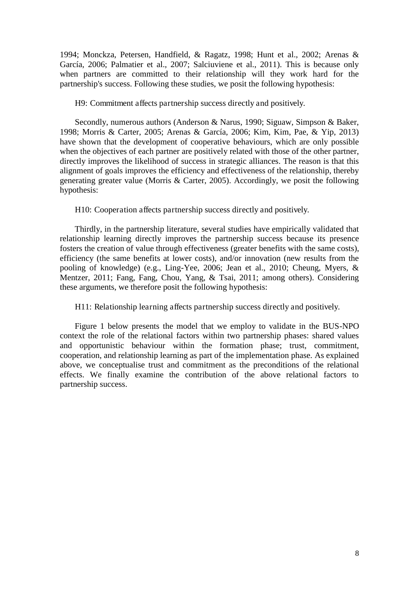1994; Monckza, Petersen, Handfield, & Ragatz, 1998; Hunt et al., 2002; Arenas & García, 2006; Palmatier et al., 2007; Salciuviene et al., 2011). This is because only when partners are committed to their relationship will they work hard for the partnership's success. Following these studies, we posit the following hypothesis:

H9: Commitment affects partnership success directly and positively.

Secondly, numerous authors (Anderson & Narus, 1990; Siguaw, Simpson & Baker, 1998; Morris & Carter, 2005; Arenas & García, 2006; Kim, Kim, Pae, & Yip, 2013) have shown that the development of cooperative behaviours, which are only possible when the objectives of each partner are positively related with those of the other partner, directly improves the likelihood of success in strategic alliances. The reason is that this alignment of goals improves the efficiency and effectiveness of the relationship, thereby generating greater value (Morris & Carter, 2005). Accordingly, we posit the following hypothesis:

H10: Cooperation affects partnership success directly and positively.

Thirdly, in the partnership literature, several studies have empirically validated that relationship learning directly improves the partnership success because its presence fosters the creation of value through effectiveness (greater benefits with the same costs), efficiency (the same benefits at lower costs), and/or innovation (new results from the pooling of knowledge) (e.g., Ling-Yee, 2006; Jean et al., 2010; Cheung, Myers, & Mentzer, 2011; Fang, Fang, Chou, Yang, & Tsai, 2011; among others). Considering these arguments, we therefore posit the following hypothesis:

H11: Relationship learning affects partnership success directly and positively.

Figure 1 below presents the model that we employ to validate in the BUS-NPO context the role of the relational factors within two partnership phases: shared values and opportunistic behaviour within the formation phase; trust, commitment, cooperation, and relationship learning as part of the implementation phase. As explained above, we conceptualise trust and commitment as the preconditions of the relational effects. We finally examine the contribution of the above relational factors to partnership success.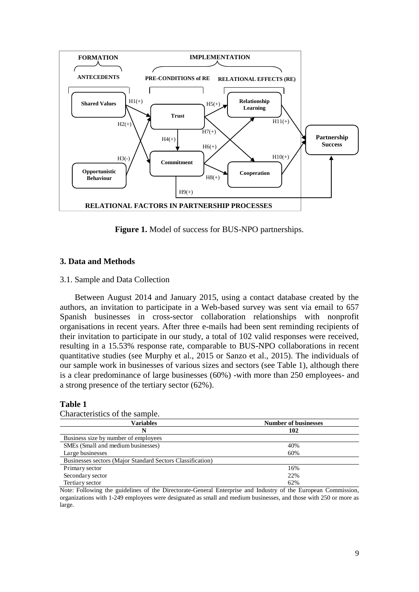

**Figure 1.** Model of success for BUS-NPO partnerships.

# **3. Data and Methods**

# 3.1. Sample and Data Collection

Between August 2014 and January 2015, using a contact database created by the authors, an invitation to participate in a Web-based survey was sent via email to 657 Spanish businesses in cross-sector collaboration relationships with nonprofit organisations in recent years. After three e-mails had been sent reminding recipients of their invitation to participate in our study, a total of 102 valid responses were received, resulting in a 15.53% response rate, comparable to BUS-NPO collaborations in recent quantitative studies (see Murphy et al., 2015 or Sanzo et al., 2015). The individuals of our sample work in businesses of various sizes and sectors (see Table 1), although there is a clear predominance of large businesses (60%) -with more than 250 employees- and a strong presence of the tertiary sector (62%).

# **Table 1**

| Variables                                                  | <b>Number of businesses</b> |
|------------------------------------------------------------|-----------------------------|
|                                                            | 102                         |
| Business size by number of employees                       |                             |
| SMEs (Small and medium businesses)                         | 40%                         |
| Large businesses                                           | 60%                         |
| Businesses sectors (Major Standard Sectors Classification) |                             |
| Primary sector                                             | 16%                         |
| Secondary sector                                           | 22%                         |
| Tertiary sector                                            | 62%                         |

Characteristics of the sample.

Note: Following the guidelines of the Directorate-General Enterprise and Industry of the European Commission, organizations with 1-249 employees were designated as small and medium businesses, and those with 250 or more as large.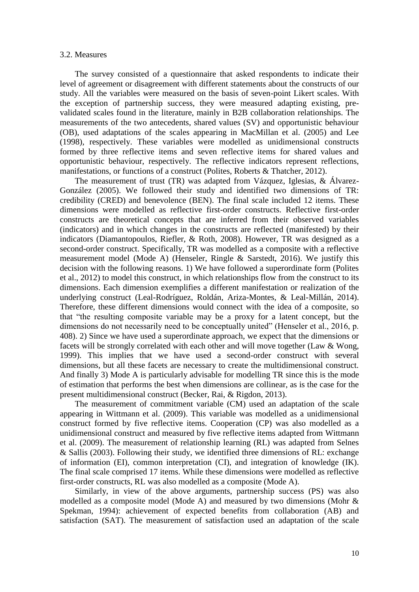#### 3.2. Measures

The survey consisted of a questionnaire that asked respondents to indicate their level of agreement or disagreement with different statements about the constructs of our study. All the variables were measured on the basis of seven-point Likert scales. With the exception of partnership success, they were measured adapting existing, prevalidated scales found in the literature, mainly in B2B collaboration relationships. The measurements of the two antecedents, shared values (SV) and opportunistic behaviour (OB), used adaptations of the scales appearing in MacMillan et al. (2005) and Lee (1998), respectively. These variables were modelled as unidimensional constructs formed by three reflective items and seven reflective items for shared values and opportunistic behaviour, respectively. The reflective indicators represent reflections, manifestations, or functions of a construct (Polites, Roberts & Thatcher, 2012).

The measurement of trust (TR) was adapted from Vázquez, Iglesias, & Álvarez-González (2005). We followed their study and identified two dimensions of TR: credibility (CRED) and benevolence (BEN). The final scale included 12 items. These dimensions were modelled as reflective first-order constructs. Reflective first-order constructs are theoretical concepts that are inferred from their observed variables (indicators) and in which changes in the constructs are reflected (manifested) by their indicators (Diamantopoulos, Riefler, & Roth, 2008). However, TR was designed as a second-order construct. Specifically, TR was modelled as a composite with a reflective measurement model (Mode A) (Henseler, Ringle & Sarstedt, 2016). We justify this decision with the following reasons. 1) We have followed a superordinate form (Polites et al., 2012) to model this construct, in which relationships flow from the construct to its dimensions. Each dimension exemplifies a different manifestation or realization of the underlying construct (Leal-Rodríguez, Roldán, Ariza-Montes, & Leal-Millán, 2014). Therefore, these different dimensions would connect with the idea of a composite, so that "the resulting composite variable may be a proxy for a latent concept, but the dimensions do not necessarily need to be conceptually united" (Henseler et al., 2016, p. 408). 2) Since we have used a superordinate approach, we expect that the dimensions or facets will be strongly correlated with each other and will move together (Law & Wong, 1999). This implies that we have used a second-order construct with several dimensions, but all these facets are necessary to create the multidimensional construct. And finally 3) Mode A is particularly advisable for modelling TR since this is the mode of estimation that performs the best when dimensions are collinear, as is the case for the present multidimensional construct (Becker, Rai, & Rigdon, 2013).

The measurement of commitment variable (CM) used an adaptation of the scale appearing in Wittmann et al. (2009). This variable was modelled as a unidimensional construct formed by five reflective items. Cooperation (CP) was also modelled as a unidimensional construct and measured by five reflective items adapted from Wittmann et al. (2009). The measurement of relationship learning (RL) was adapted from Selnes & Sallis (2003). Following their study, we identified three dimensions of RL: exchange of information (EI), common interpretation (CI), and integration of knowledge (IK). The final scale comprised 17 items. While these dimensions were modelled as reflective first-order constructs, RL was also modelled as a composite (Mode A).

Similarly, in view of the above arguments, partnership success (PS) was also modelled as a composite model (Mode A) and measured by two dimensions (Mohr  $\&$ Spekman, 1994): achievement of expected benefits from collaboration (AB) and satisfaction (SAT). The measurement of satisfaction used an adaptation of the scale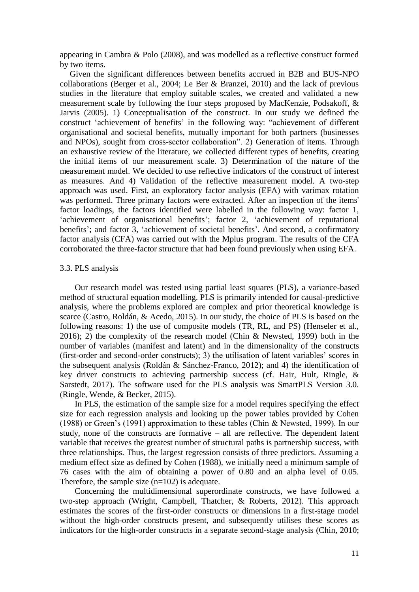appearing in Cambra & Polo (2008), and was modelled as a reflective construct formed by two items.

Given the significant differences between benefits accrued in B2B and BUS-NPO collaborations (Berger et al., 2004; Le Ber & Branzei, 2010) and the lack of previous studies in the literature that employ suitable scales, we created and validated a new measurement scale by following the four steps proposed by MacKenzie, Podsakoff, & Jarvis (2005). 1) Conceptualisation of the construct. In our study we defined the construct 'achievement of benefits' in the following way: "achievement of different organisational and societal benefits, mutually important for both partners (businesses and NPOs), sought from cross-sector collaboration". 2) Generation of items. Through an exhaustive review of the literature, we collected different types of benefits, creating the initial items of our measurement scale. 3) Determination of the nature of the measurement model. We decided to use reflective indicators of the construct of interest as measures. And 4) Validation of the reflective measurement model. A two-step approach was used. First, an exploratory factor analysis (EFA) with varimax rotation was performed. Three primary factors were extracted. After an inspection of the items' factor loadings, the factors identified were labelled in the following way: factor 1, 'achievement of organisational benefits'; factor 2, 'achievement of reputational benefits'; and factor 3, 'achievement of societal benefits'. And second, a confirmatory factor analysis (CFA) was carried out with the Mplus program. The results of the CFA corroborated the three-factor structure that had been found previously when using EFA.

#### 3.3. PLS analysis

Our research model was tested using partial least squares (PLS), a variance-based method of structural equation modelling. PLS is primarily intended for causal-predictive analysis, where the problems explored are complex and prior theoretical knowledge is scarce (Castro, Roldán, & Acedo, 2015). In our study, the choice of PLS is based on the following reasons: 1) the use of composite models (TR, RL, and PS) (Henseler et al., 2016); 2) the complexity of the research model (Chin & Newsted, 1999) both in the number of variables (manifest and latent) and in the dimensionality of the constructs (first-order and second-order constructs); 3) the utilisation of latent variables' scores in the subsequent analysis (Roldán & Sánchez-Franco, 2012); and 4) the identification of key driver constructs to achieving partnership success (cf. Hair, Hult, Ringle, & Sarstedt, 2017). The software used for the PLS analysis was SmartPLS Version 3.0. (Ringle, Wende, & Becker, 2015).

In PLS, the estimation of the sample size for a model requires specifying the effect size for each regression analysis and looking up the power tables provided by Cohen (1988) or Green's (1991) approximation to these tables (Chin & Newsted, 1999). In our study, none of the constructs are formative – all are reflective. The dependent latent variable that receives the greatest number of structural paths is partnership success, with three relationships. Thus, the largest regression consists of three predictors. Assuming a medium effect size as defined by Cohen (1988), we initially need a minimum sample of 76 cases with the aim of obtaining a power of 0.80 and an alpha level of 0.05. Therefore, the sample size  $(n=102)$  is adequate.

Concerning the multidimensional superordinate constructs, we have followed a two-step approach (Wright, Campbell, Thatcher, & Roberts, 2012). This approach estimates the scores of the first-order constructs or dimensions in a first-stage model without the high-order constructs present, and subsequently utilises these scores as indicators for the high-order constructs in a separate second-stage analysis (Chin, 2010;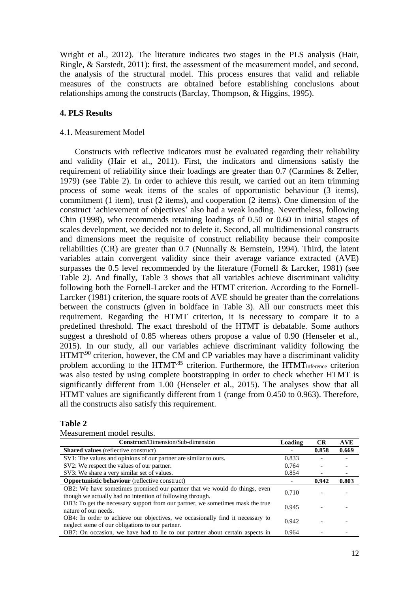Wright et al., 2012). The literature indicates two stages in the PLS analysis (Hair, Ringle, & Sarstedt, 2011): first, the assessment of the measurement model, and second, the analysis of the structural model. This process ensures that valid and reliable measures of the constructs are obtained before establishing conclusions about relationships among the constructs (Barclay, Thompson, & Higgins, 1995).

# **4. PLS Results**

#### 4.1. Measurement Model

Constructs with reflective indicators must be evaluated regarding their reliability and validity (Hair et al., 2011). First, the indicators and dimensions satisfy the requirement of reliability since their loadings are greater than 0.7 (Carmines & Zeller, 1979) (see Table 2). In order to achieve this result, we carried out an item trimming process of some weak items of the scales of opportunistic behaviour (3 items), commitment (1 item), trust (2 items), and cooperation (2 items). One dimension of the construct 'achievement of objectives' also had a weak loading. Nevertheless, following Chin (1998), who recommends retaining loadings of 0.50 or 0.60 in initial stages of scales development, we decided not to delete it. Second, all multidimensional constructs and dimensions meet the requisite of construct reliability because their composite reliabilities (CR) are greater than 0.7 (Nunnally & Bernstein, 1994). Third, the latent variables attain convergent validity since their average variance extracted (AVE) surpasses the 0.5 level recommended by the literature (Fornell & Larcker, 1981) (see Table 2). And finally, Table 3 shows that all variables achieve discriminant validity following both the Fornell-Larcker and the HTMT criterion. According to the Fornell-Larcker (1981) criterion, the square roots of AVE should be greater than the correlations between the constructs (given in boldface in Table 3). All our constructs meet this requirement. Regarding the HTMT criterion, it is necessary to compare it to a predefined threshold. The exact threshold of the HTMT is debatable. Some authors suggest a threshold of 0.85 whereas others propose a value of 0.90 (Henseler et al., 2015). In our study, all our variables achieve discriminant validity following the HTMT<sup>.90</sup> criterion, however, the CM and CP variables may have a discriminant validity problem according to the HTMT<sup>85</sup> criterion. Furthermore, the HTMT<sub>inference</sub> criterion was also tested by using complete bootstrapping in order to check whether HTMT is significantly different from 1.00 (Henseler et al., 2015). The analyses show that all HTMT values are significantly different from 1 (range from 0.450 to 0.963). Therefore, all the constructs also satisfy this requirement.

# **Table 2**

| <b>Construct/Dimension/Sub-dimension</b>                                                                                               | Loading | <b>CR</b> | <b>AVE</b> |
|----------------------------------------------------------------------------------------------------------------------------------------|---------|-----------|------------|
| <b>Shared values</b> (reflective construct)                                                                                            |         | 0.858     | 0.669      |
| SV1: The values and opinions of our partner are similar to ours.                                                                       | 0.833   |           |            |
| SV2: We respect the values of our partner.                                                                                             | 0.764   |           |            |
| SV3: We share a very similar set of values.                                                                                            | 0.854   |           |            |
| <b>Opportunistic behaviour</b> (reflective construct)                                                                                  |         | 0.942     | 0.803      |
| OB2: We have sometimes promised our partner that we would do things, even<br>though we actually had no intention of following through. | 0.710   |           |            |
| OB3: To get the necessary support from our partner, we sometimes mask the true<br>nature of our needs.                                 | 0.945   |           |            |
| OB4: In order to achieve our objectives, we occasionally find it necessary to<br>neglect some of our obligations to our partner.       | 0.942   |           |            |
| OB7: On occasion, we have had to lie to our partner about certain aspects in                                                           | 0.964   |           |            |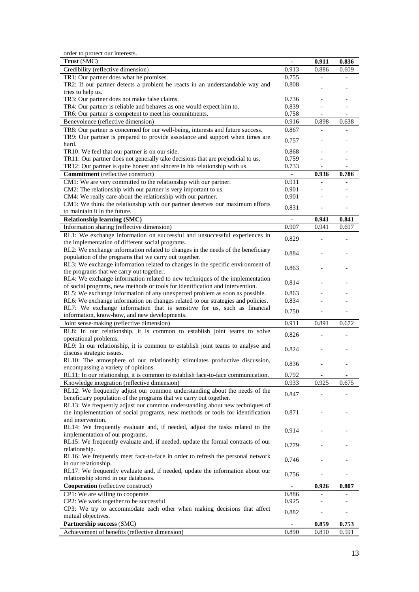order to protect our interests.

| Credibility (reflective dimension)<br>0.913<br>0.886<br>0.609<br>TR1: Our partner does what he promises.<br>0.755<br>TR2: If our partner detects a problem he reacts in an understandable way and<br>0.808<br>tries to help us.<br>TR3: Our partner does not make false claims.<br>0.736<br>TR4: Our partner is reliable and behaves as one would expect him to.<br>0.839<br>TR6: Our partner is competent to meet his commitments.<br>0.758<br>Benevolence (reflective dimension)<br>0.916<br>0.898<br>0.638<br>TR8: Our partner is concerned for our well-being, interests and future success.<br>0.867<br>TR9: Our partner is prepared to provide assistance and support when times are<br>0.757<br>hard.<br>0.868<br>TR10: We feel that our partner is on our side.<br>TR11: Our partner does not generally take decisions that are prejudicial to us.<br>0.759<br>TR12: Our partner is quite honest and sincere in his relationship with us.<br>0.733<br><b>Commitment</b> (reflective construct)<br>0.936<br>0.786<br>$\blacksquare$<br>CM1: We are very committed to the relationship with our partner.<br>0.911<br>CM2: The relationship with our partner is very important to us.<br>0.901<br>CM4: We really care about the relationship with our partner.<br>0.901<br>CM5: We think the relationship with our partner deserves our maximum efforts<br>0.831<br>to maintain it in the future.<br><b>Relationship learning (SMC)</b><br>0.941<br>0.841<br>$\blacksquare$<br>0.907<br>Information sharing (reflective dimension)<br>0.941<br>0.697<br>RL1: We exchange information on successful and unsuccessful experiences in<br>0.829<br>the implementation of different social programs.<br>RL2: We exchange information related to changes in the needs of the beneficiary<br>0.884<br>population of the programs that we carry out together.<br>RL3: We exchange information related to changes in the specific environment of<br>0.863<br>the programs that we carry out together.<br>RL4: We exchange information related to new techniques of the implementation<br>0.814<br>of social programs, new methods or tools for identification and intervention.<br>RL5: We exchange information of any unexpected problem as soon as possible.<br>0.863<br>RL6: We exchange information on changes related to our strategies and policies.<br>0.834<br>RL7: We exchange information that is sensitive for us, such as financial<br>0.750<br>information, know-how, and new developments.<br>Joint sense-making (reflective dimension)<br>0.911<br>0.672<br>0.891<br>RL8: In our relationship, it is common to establish joint teams to solve<br>0.826<br>operational problems.<br>RL9: In our relationship, it is common to establish joint teams to analyse and<br>0.824<br>discuss strategic issues.<br>RL10: The atmosphere of our relationship stimulates productive discussion,<br>0.836<br>encompassing a variety of opinions.<br>0.792<br>RL11: In our relationship, it is common to establish face-to-face communication.<br>$\qquad \qquad \blacksquare$<br>$\overline{\phantom{0}}$<br>Knowledge integration (reflective dimension)<br>0.933<br>0.925<br>0.675<br>RL12: We frequently adjust our common understanding about the needs of the<br>0.847<br>beneficiary population of the programs that we carry out together.<br>RL13: We frequently adjust our common understanding about new techniques of<br>the implementation of social programs, new methods or tools for identification<br>0.871<br>and intervention.<br>RL14: We frequently evaluate and, if needed, adjust the tasks related to the<br>0.914<br>implementation of our programs.<br>RL15: We frequently evaluate and, if needed, update the formal contracts of our<br>0.779<br>relationship.<br>RL16: We frequently meet face-to-face in order to refresh the personal network<br>0.746<br>in our relationship.<br>RL17: We frequently evaluate and, if needed, update the information about our<br>0.756<br>relationship stored in our databases.<br>Cooperation (reflective construct)<br>0.926<br>0.807<br>CP1: We are willing to cooperate.<br>0.886<br>CP2: We work together to be successful.<br>0.925<br>CP3: We try to accommodate each other when making decisions that affect<br>0.882<br>mutual objectives.<br>Partnership success (SMC)<br>0.753<br>0.859<br>Achievement of benefits (reflective dimension)<br>0.890<br>0.810<br>0.591 | $\frac{1}{2}$<br>Trust (SMC) | $\blacksquare$ | 0.911 | 0.836 |
|-------------------------------------------------------------------------------------------------------------------------------------------------------------------------------------------------------------------------------------------------------------------------------------------------------------------------------------------------------------------------------------------------------------------------------------------------------------------------------------------------------------------------------------------------------------------------------------------------------------------------------------------------------------------------------------------------------------------------------------------------------------------------------------------------------------------------------------------------------------------------------------------------------------------------------------------------------------------------------------------------------------------------------------------------------------------------------------------------------------------------------------------------------------------------------------------------------------------------------------------------------------------------------------------------------------------------------------------------------------------------------------------------------------------------------------------------------------------------------------------------------------------------------------------------------------------------------------------------------------------------------------------------------------------------------------------------------------------------------------------------------------------------------------------------------------------------------------------------------------------------------------------------------------------------------------------------------------------------------------------------------------------------------------------------------------------------------------------------------------------------------------------------------------------------------------------------------------------------------------------------------------------------------------------------------------------------------------------------------------------------------------------------------------------------------------------------------------------------------------------------------------------------------------------------------------------------------------------------------------------------------------------------------------------------------------------------------------------------------------------------------------------------------------------------------------------------------------------------------------------------------------------------------------------------------------------------------------------------------------------------------------------------------------------------------------------------------------------------------------------------------------------------------------------------------------------------------------------------------------------------------------------------------------------------------------------------------------------------------------------------------------------------------------------------------------------------------------------------------------------------------------------------------------------------------------------------------------------------------------------------------------------------------------------------------------------------------------------------------------------------------------------------------------------------------------------------------------------------------------------------------------------------------------------------------------------------------------------------------------------------------------------------------------------------------------------------------------------------------------------------------------------------------------------------------------------------------------------------------------------------------------------------------------------------------------------------------------------------------------------------------------------------------------------------------------------------|------------------------------|----------------|-------|-------|
|                                                                                                                                                                                                                                                                                                                                                                                                                                                                                                                                                                                                                                                                                                                                                                                                                                                                                                                                                                                                                                                                                                                                                                                                                                                                                                                                                                                                                                                                                                                                                                                                                                                                                                                                                                                                                                                                                                                                                                                                                                                                                                                                                                                                                                                                                                                                                                                                                                                                                                                                                                                                                                                                                                                                                                                                                                                                                                                                                                                                                                                                                                                                                                                                                                                                                                                                                                                                                                                                                                                                                                                                                                                                                                                                                                                                                                                                                                                                                                                                                                                                                                                                                                                                                                                                                                                                                                                                                                                 |                              |                |       |       |
|                                                                                                                                                                                                                                                                                                                                                                                                                                                                                                                                                                                                                                                                                                                                                                                                                                                                                                                                                                                                                                                                                                                                                                                                                                                                                                                                                                                                                                                                                                                                                                                                                                                                                                                                                                                                                                                                                                                                                                                                                                                                                                                                                                                                                                                                                                                                                                                                                                                                                                                                                                                                                                                                                                                                                                                                                                                                                                                                                                                                                                                                                                                                                                                                                                                                                                                                                                                                                                                                                                                                                                                                                                                                                                                                                                                                                                                                                                                                                                                                                                                                                                                                                                                                                                                                                                                                                                                                                                                 |                              |                |       |       |
|                                                                                                                                                                                                                                                                                                                                                                                                                                                                                                                                                                                                                                                                                                                                                                                                                                                                                                                                                                                                                                                                                                                                                                                                                                                                                                                                                                                                                                                                                                                                                                                                                                                                                                                                                                                                                                                                                                                                                                                                                                                                                                                                                                                                                                                                                                                                                                                                                                                                                                                                                                                                                                                                                                                                                                                                                                                                                                                                                                                                                                                                                                                                                                                                                                                                                                                                                                                                                                                                                                                                                                                                                                                                                                                                                                                                                                                                                                                                                                                                                                                                                                                                                                                                                                                                                                                                                                                                                                                 |                              |                |       |       |
|                                                                                                                                                                                                                                                                                                                                                                                                                                                                                                                                                                                                                                                                                                                                                                                                                                                                                                                                                                                                                                                                                                                                                                                                                                                                                                                                                                                                                                                                                                                                                                                                                                                                                                                                                                                                                                                                                                                                                                                                                                                                                                                                                                                                                                                                                                                                                                                                                                                                                                                                                                                                                                                                                                                                                                                                                                                                                                                                                                                                                                                                                                                                                                                                                                                                                                                                                                                                                                                                                                                                                                                                                                                                                                                                                                                                                                                                                                                                                                                                                                                                                                                                                                                                                                                                                                                                                                                                                                                 |                              |                |       |       |
|                                                                                                                                                                                                                                                                                                                                                                                                                                                                                                                                                                                                                                                                                                                                                                                                                                                                                                                                                                                                                                                                                                                                                                                                                                                                                                                                                                                                                                                                                                                                                                                                                                                                                                                                                                                                                                                                                                                                                                                                                                                                                                                                                                                                                                                                                                                                                                                                                                                                                                                                                                                                                                                                                                                                                                                                                                                                                                                                                                                                                                                                                                                                                                                                                                                                                                                                                                                                                                                                                                                                                                                                                                                                                                                                                                                                                                                                                                                                                                                                                                                                                                                                                                                                                                                                                                                                                                                                                                                 |                              |                |       |       |
|                                                                                                                                                                                                                                                                                                                                                                                                                                                                                                                                                                                                                                                                                                                                                                                                                                                                                                                                                                                                                                                                                                                                                                                                                                                                                                                                                                                                                                                                                                                                                                                                                                                                                                                                                                                                                                                                                                                                                                                                                                                                                                                                                                                                                                                                                                                                                                                                                                                                                                                                                                                                                                                                                                                                                                                                                                                                                                                                                                                                                                                                                                                                                                                                                                                                                                                                                                                                                                                                                                                                                                                                                                                                                                                                                                                                                                                                                                                                                                                                                                                                                                                                                                                                                                                                                                                                                                                                                                                 |                              |                |       |       |
|                                                                                                                                                                                                                                                                                                                                                                                                                                                                                                                                                                                                                                                                                                                                                                                                                                                                                                                                                                                                                                                                                                                                                                                                                                                                                                                                                                                                                                                                                                                                                                                                                                                                                                                                                                                                                                                                                                                                                                                                                                                                                                                                                                                                                                                                                                                                                                                                                                                                                                                                                                                                                                                                                                                                                                                                                                                                                                                                                                                                                                                                                                                                                                                                                                                                                                                                                                                                                                                                                                                                                                                                                                                                                                                                                                                                                                                                                                                                                                                                                                                                                                                                                                                                                                                                                                                                                                                                                                                 |                              |                |       |       |
|                                                                                                                                                                                                                                                                                                                                                                                                                                                                                                                                                                                                                                                                                                                                                                                                                                                                                                                                                                                                                                                                                                                                                                                                                                                                                                                                                                                                                                                                                                                                                                                                                                                                                                                                                                                                                                                                                                                                                                                                                                                                                                                                                                                                                                                                                                                                                                                                                                                                                                                                                                                                                                                                                                                                                                                                                                                                                                                                                                                                                                                                                                                                                                                                                                                                                                                                                                                                                                                                                                                                                                                                                                                                                                                                                                                                                                                                                                                                                                                                                                                                                                                                                                                                                                                                                                                                                                                                                                                 |                              |                |       |       |
|                                                                                                                                                                                                                                                                                                                                                                                                                                                                                                                                                                                                                                                                                                                                                                                                                                                                                                                                                                                                                                                                                                                                                                                                                                                                                                                                                                                                                                                                                                                                                                                                                                                                                                                                                                                                                                                                                                                                                                                                                                                                                                                                                                                                                                                                                                                                                                                                                                                                                                                                                                                                                                                                                                                                                                                                                                                                                                                                                                                                                                                                                                                                                                                                                                                                                                                                                                                                                                                                                                                                                                                                                                                                                                                                                                                                                                                                                                                                                                                                                                                                                                                                                                                                                                                                                                                                                                                                                                                 |                              |                |       |       |
|                                                                                                                                                                                                                                                                                                                                                                                                                                                                                                                                                                                                                                                                                                                                                                                                                                                                                                                                                                                                                                                                                                                                                                                                                                                                                                                                                                                                                                                                                                                                                                                                                                                                                                                                                                                                                                                                                                                                                                                                                                                                                                                                                                                                                                                                                                                                                                                                                                                                                                                                                                                                                                                                                                                                                                                                                                                                                                                                                                                                                                                                                                                                                                                                                                                                                                                                                                                                                                                                                                                                                                                                                                                                                                                                                                                                                                                                                                                                                                                                                                                                                                                                                                                                                                                                                                                                                                                                                                                 |                              |                |       |       |
|                                                                                                                                                                                                                                                                                                                                                                                                                                                                                                                                                                                                                                                                                                                                                                                                                                                                                                                                                                                                                                                                                                                                                                                                                                                                                                                                                                                                                                                                                                                                                                                                                                                                                                                                                                                                                                                                                                                                                                                                                                                                                                                                                                                                                                                                                                                                                                                                                                                                                                                                                                                                                                                                                                                                                                                                                                                                                                                                                                                                                                                                                                                                                                                                                                                                                                                                                                                                                                                                                                                                                                                                                                                                                                                                                                                                                                                                                                                                                                                                                                                                                                                                                                                                                                                                                                                                                                                                                                                 |                              |                |       |       |
|                                                                                                                                                                                                                                                                                                                                                                                                                                                                                                                                                                                                                                                                                                                                                                                                                                                                                                                                                                                                                                                                                                                                                                                                                                                                                                                                                                                                                                                                                                                                                                                                                                                                                                                                                                                                                                                                                                                                                                                                                                                                                                                                                                                                                                                                                                                                                                                                                                                                                                                                                                                                                                                                                                                                                                                                                                                                                                                                                                                                                                                                                                                                                                                                                                                                                                                                                                                                                                                                                                                                                                                                                                                                                                                                                                                                                                                                                                                                                                                                                                                                                                                                                                                                                                                                                                                                                                                                                                                 |                              |                |       |       |
|                                                                                                                                                                                                                                                                                                                                                                                                                                                                                                                                                                                                                                                                                                                                                                                                                                                                                                                                                                                                                                                                                                                                                                                                                                                                                                                                                                                                                                                                                                                                                                                                                                                                                                                                                                                                                                                                                                                                                                                                                                                                                                                                                                                                                                                                                                                                                                                                                                                                                                                                                                                                                                                                                                                                                                                                                                                                                                                                                                                                                                                                                                                                                                                                                                                                                                                                                                                                                                                                                                                                                                                                                                                                                                                                                                                                                                                                                                                                                                                                                                                                                                                                                                                                                                                                                                                                                                                                                                                 |                              |                |       |       |
|                                                                                                                                                                                                                                                                                                                                                                                                                                                                                                                                                                                                                                                                                                                                                                                                                                                                                                                                                                                                                                                                                                                                                                                                                                                                                                                                                                                                                                                                                                                                                                                                                                                                                                                                                                                                                                                                                                                                                                                                                                                                                                                                                                                                                                                                                                                                                                                                                                                                                                                                                                                                                                                                                                                                                                                                                                                                                                                                                                                                                                                                                                                                                                                                                                                                                                                                                                                                                                                                                                                                                                                                                                                                                                                                                                                                                                                                                                                                                                                                                                                                                                                                                                                                                                                                                                                                                                                                                                                 |                              |                |       |       |
|                                                                                                                                                                                                                                                                                                                                                                                                                                                                                                                                                                                                                                                                                                                                                                                                                                                                                                                                                                                                                                                                                                                                                                                                                                                                                                                                                                                                                                                                                                                                                                                                                                                                                                                                                                                                                                                                                                                                                                                                                                                                                                                                                                                                                                                                                                                                                                                                                                                                                                                                                                                                                                                                                                                                                                                                                                                                                                                                                                                                                                                                                                                                                                                                                                                                                                                                                                                                                                                                                                                                                                                                                                                                                                                                                                                                                                                                                                                                                                                                                                                                                                                                                                                                                                                                                                                                                                                                                                                 |                              |                |       |       |
|                                                                                                                                                                                                                                                                                                                                                                                                                                                                                                                                                                                                                                                                                                                                                                                                                                                                                                                                                                                                                                                                                                                                                                                                                                                                                                                                                                                                                                                                                                                                                                                                                                                                                                                                                                                                                                                                                                                                                                                                                                                                                                                                                                                                                                                                                                                                                                                                                                                                                                                                                                                                                                                                                                                                                                                                                                                                                                                                                                                                                                                                                                                                                                                                                                                                                                                                                                                                                                                                                                                                                                                                                                                                                                                                                                                                                                                                                                                                                                                                                                                                                                                                                                                                                                                                                                                                                                                                                                                 |                              |                |       |       |
|                                                                                                                                                                                                                                                                                                                                                                                                                                                                                                                                                                                                                                                                                                                                                                                                                                                                                                                                                                                                                                                                                                                                                                                                                                                                                                                                                                                                                                                                                                                                                                                                                                                                                                                                                                                                                                                                                                                                                                                                                                                                                                                                                                                                                                                                                                                                                                                                                                                                                                                                                                                                                                                                                                                                                                                                                                                                                                                                                                                                                                                                                                                                                                                                                                                                                                                                                                                                                                                                                                                                                                                                                                                                                                                                                                                                                                                                                                                                                                                                                                                                                                                                                                                                                                                                                                                                                                                                                                                 |                              |                |       |       |
|                                                                                                                                                                                                                                                                                                                                                                                                                                                                                                                                                                                                                                                                                                                                                                                                                                                                                                                                                                                                                                                                                                                                                                                                                                                                                                                                                                                                                                                                                                                                                                                                                                                                                                                                                                                                                                                                                                                                                                                                                                                                                                                                                                                                                                                                                                                                                                                                                                                                                                                                                                                                                                                                                                                                                                                                                                                                                                                                                                                                                                                                                                                                                                                                                                                                                                                                                                                                                                                                                                                                                                                                                                                                                                                                                                                                                                                                                                                                                                                                                                                                                                                                                                                                                                                                                                                                                                                                                                                 |                              |                |       |       |
|                                                                                                                                                                                                                                                                                                                                                                                                                                                                                                                                                                                                                                                                                                                                                                                                                                                                                                                                                                                                                                                                                                                                                                                                                                                                                                                                                                                                                                                                                                                                                                                                                                                                                                                                                                                                                                                                                                                                                                                                                                                                                                                                                                                                                                                                                                                                                                                                                                                                                                                                                                                                                                                                                                                                                                                                                                                                                                                                                                                                                                                                                                                                                                                                                                                                                                                                                                                                                                                                                                                                                                                                                                                                                                                                                                                                                                                                                                                                                                                                                                                                                                                                                                                                                                                                                                                                                                                                                                                 |                              |                |       |       |
|                                                                                                                                                                                                                                                                                                                                                                                                                                                                                                                                                                                                                                                                                                                                                                                                                                                                                                                                                                                                                                                                                                                                                                                                                                                                                                                                                                                                                                                                                                                                                                                                                                                                                                                                                                                                                                                                                                                                                                                                                                                                                                                                                                                                                                                                                                                                                                                                                                                                                                                                                                                                                                                                                                                                                                                                                                                                                                                                                                                                                                                                                                                                                                                                                                                                                                                                                                                                                                                                                                                                                                                                                                                                                                                                                                                                                                                                                                                                                                                                                                                                                                                                                                                                                                                                                                                                                                                                                                                 |                              |                |       |       |
|                                                                                                                                                                                                                                                                                                                                                                                                                                                                                                                                                                                                                                                                                                                                                                                                                                                                                                                                                                                                                                                                                                                                                                                                                                                                                                                                                                                                                                                                                                                                                                                                                                                                                                                                                                                                                                                                                                                                                                                                                                                                                                                                                                                                                                                                                                                                                                                                                                                                                                                                                                                                                                                                                                                                                                                                                                                                                                                                                                                                                                                                                                                                                                                                                                                                                                                                                                                                                                                                                                                                                                                                                                                                                                                                                                                                                                                                                                                                                                                                                                                                                                                                                                                                                                                                                                                                                                                                                                                 |                              |                |       |       |
|                                                                                                                                                                                                                                                                                                                                                                                                                                                                                                                                                                                                                                                                                                                                                                                                                                                                                                                                                                                                                                                                                                                                                                                                                                                                                                                                                                                                                                                                                                                                                                                                                                                                                                                                                                                                                                                                                                                                                                                                                                                                                                                                                                                                                                                                                                                                                                                                                                                                                                                                                                                                                                                                                                                                                                                                                                                                                                                                                                                                                                                                                                                                                                                                                                                                                                                                                                                                                                                                                                                                                                                                                                                                                                                                                                                                                                                                                                                                                                                                                                                                                                                                                                                                                                                                                                                                                                                                                                                 |                              |                |       |       |
|                                                                                                                                                                                                                                                                                                                                                                                                                                                                                                                                                                                                                                                                                                                                                                                                                                                                                                                                                                                                                                                                                                                                                                                                                                                                                                                                                                                                                                                                                                                                                                                                                                                                                                                                                                                                                                                                                                                                                                                                                                                                                                                                                                                                                                                                                                                                                                                                                                                                                                                                                                                                                                                                                                                                                                                                                                                                                                                                                                                                                                                                                                                                                                                                                                                                                                                                                                                                                                                                                                                                                                                                                                                                                                                                                                                                                                                                                                                                                                                                                                                                                                                                                                                                                                                                                                                                                                                                                                                 |                              |                |       |       |
|                                                                                                                                                                                                                                                                                                                                                                                                                                                                                                                                                                                                                                                                                                                                                                                                                                                                                                                                                                                                                                                                                                                                                                                                                                                                                                                                                                                                                                                                                                                                                                                                                                                                                                                                                                                                                                                                                                                                                                                                                                                                                                                                                                                                                                                                                                                                                                                                                                                                                                                                                                                                                                                                                                                                                                                                                                                                                                                                                                                                                                                                                                                                                                                                                                                                                                                                                                                                                                                                                                                                                                                                                                                                                                                                                                                                                                                                                                                                                                                                                                                                                                                                                                                                                                                                                                                                                                                                                                                 |                              |                |       |       |
|                                                                                                                                                                                                                                                                                                                                                                                                                                                                                                                                                                                                                                                                                                                                                                                                                                                                                                                                                                                                                                                                                                                                                                                                                                                                                                                                                                                                                                                                                                                                                                                                                                                                                                                                                                                                                                                                                                                                                                                                                                                                                                                                                                                                                                                                                                                                                                                                                                                                                                                                                                                                                                                                                                                                                                                                                                                                                                                                                                                                                                                                                                                                                                                                                                                                                                                                                                                                                                                                                                                                                                                                                                                                                                                                                                                                                                                                                                                                                                                                                                                                                                                                                                                                                                                                                                                                                                                                                                                 |                              |                |       |       |
|                                                                                                                                                                                                                                                                                                                                                                                                                                                                                                                                                                                                                                                                                                                                                                                                                                                                                                                                                                                                                                                                                                                                                                                                                                                                                                                                                                                                                                                                                                                                                                                                                                                                                                                                                                                                                                                                                                                                                                                                                                                                                                                                                                                                                                                                                                                                                                                                                                                                                                                                                                                                                                                                                                                                                                                                                                                                                                                                                                                                                                                                                                                                                                                                                                                                                                                                                                                                                                                                                                                                                                                                                                                                                                                                                                                                                                                                                                                                                                                                                                                                                                                                                                                                                                                                                                                                                                                                                                                 |                              |                |       |       |
|                                                                                                                                                                                                                                                                                                                                                                                                                                                                                                                                                                                                                                                                                                                                                                                                                                                                                                                                                                                                                                                                                                                                                                                                                                                                                                                                                                                                                                                                                                                                                                                                                                                                                                                                                                                                                                                                                                                                                                                                                                                                                                                                                                                                                                                                                                                                                                                                                                                                                                                                                                                                                                                                                                                                                                                                                                                                                                                                                                                                                                                                                                                                                                                                                                                                                                                                                                                                                                                                                                                                                                                                                                                                                                                                                                                                                                                                                                                                                                                                                                                                                                                                                                                                                                                                                                                                                                                                                                                 |                              |                |       |       |
|                                                                                                                                                                                                                                                                                                                                                                                                                                                                                                                                                                                                                                                                                                                                                                                                                                                                                                                                                                                                                                                                                                                                                                                                                                                                                                                                                                                                                                                                                                                                                                                                                                                                                                                                                                                                                                                                                                                                                                                                                                                                                                                                                                                                                                                                                                                                                                                                                                                                                                                                                                                                                                                                                                                                                                                                                                                                                                                                                                                                                                                                                                                                                                                                                                                                                                                                                                                                                                                                                                                                                                                                                                                                                                                                                                                                                                                                                                                                                                                                                                                                                                                                                                                                                                                                                                                                                                                                                                                 |                              |                |       |       |
|                                                                                                                                                                                                                                                                                                                                                                                                                                                                                                                                                                                                                                                                                                                                                                                                                                                                                                                                                                                                                                                                                                                                                                                                                                                                                                                                                                                                                                                                                                                                                                                                                                                                                                                                                                                                                                                                                                                                                                                                                                                                                                                                                                                                                                                                                                                                                                                                                                                                                                                                                                                                                                                                                                                                                                                                                                                                                                                                                                                                                                                                                                                                                                                                                                                                                                                                                                                                                                                                                                                                                                                                                                                                                                                                                                                                                                                                                                                                                                                                                                                                                                                                                                                                                                                                                                                                                                                                                                                 |                              |                |       |       |
|                                                                                                                                                                                                                                                                                                                                                                                                                                                                                                                                                                                                                                                                                                                                                                                                                                                                                                                                                                                                                                                                                                                                                                                                                                                                                                                                                                                                                                                                                                                                                                                                                                                                                                                                                                                                                                                                                                                                                                                                                                                                                                                                                                                                                                                                                                                                                                                                                                                                                                                                                                                                                                                                                                                                                                                                                                                                                                                                                                                                                                                                                                                                                                                                                                                                                                                                                                                                                                                                                                                                                                                                                                                                                                                                                                                                                                                                                                                                                                                                                                                                                                                                                                                                                                                                                                                                                                                                                                                 |                              |                |       |       |
|                                                                                                                                                                                                                                                                                                                                                                                                                                                                                                                                                                                                                                                                                                                                                                                                                                                                                                                                                                                                                                                                                                                                                                                                                                                                                                                                                                                                                                                                                                                                                                                                                                                                                                                                                                                                                                                                                                                                                                                                                                                                                                                                                                                                                                                                                                                                                                                                                                                                                                                                                                                                                                                                                                                                                                                                                                                                                                                                                                                                                                                                                                                                                                                                                                                                                                                                                                                                                                                                                                                                                                                                                                                                                                                                                                                                                                                                                                                                                                                                                                                                                                                                                                                                                                                                                                                                                                                                                                                 |                              |                |       |       |
|                                                                                                                                                                                                                                                                                                                                                                                                                                                                                                                                                                                                                                                                                                                                                                                                                                                                                                                                                                                                                                                                                                                                                                                                                                                                                                                                                                                                                                                                                                                                                                                                                                                                                                                                                                                                                                                                                                                                                                                                                                                                                                                                                                                                                                                                                                                                                                                                                                                                                                                                                                                                                                                                                                                                                                                                                                                                                                                                                                                                                                                                                                                                                                                                                                                                                                                                                                                                                                                                                                                                                                                                                                                                                                                                                                                                                                                                                                                                                                                                                                                                                                                                                                                                                                                                                                                                                                                                                                                 |                              |                |       |       |
|                                                                                                                                                                                                                                                                                                                                                                                                                                                                                                                                                                                                                                                                                                                                                                                                                                                                                                                                                                                                                                                                                                                                                                                                                                                                                                                                                                                                                                                                                                                                                                                                                                                                                                                                                                                                                                                                                                                                                                                                                                                                                                                                                                                                                                                                                                                                                                                                                                                                                                                                                                                                                                                                                                                                                                                                                                                                                                                                                                                                                                                                                                                                                                                                                                                                                                                                                                                                                                                                                                                                                                                                                                                                                                                                                                                                                                                                                                                                                                                                                                                                                                                                                                                                                                                                                                                                                                                                                                                 |                              |                |       |       |
|                                                                                                                                                                                                                                                                                                                                                                                                                                                                                                                                                                                                                                                                                                                                                                                                                                                                                                                                                                                                                                                                                                                                                                                                                                                                                                                                                                                                                                                                                                                                                                                                                                                                                                                                                                                                                                                                                                                                                                                                                                                                                                                                                                                                                                                                                                                                                                                                                                                                                                                                                                                                                                                                                                                                                                                                                                                                                                                                                                                                                                                                                                                                                                                                                                                                                                                                                                                                                                                                                                                                                                                                                                                                                                                                                                                                                                                                                                                                                                                                                                                                                                                                                                                                                                                                                                                                                                                                                                                 |                              |                |       |       |
|                                                                                                                                                                                                                                                                                                                                                                                                                                                                                                                                                                                                                                                                                                                                                                                                                                                                                                                                                                                                                                                                                                                                                                                                                                                                                                                                                                                                                                                                                                                                                                                                                                                                                                                                                                                                                                                                                                                                                                                                                                                                                                                                                                                                                                                                                                                                                                                                                                                                                                                                                                                                                                                                                                                                                                                                                                                                                                                                                                                                                                                                                                                                                                                                                                                                                                                                                                                                                                                                                                                                                                                                                                                                                                                                                                                                                                                                                                                                                                                                                                                                                                                                                                                                                                                                                                                                                                                                                                                 |                              |                |       |       |
|                                                                                                                                                                                                                                                                                                                                                                                                                                                                                                                                                                                                                                                                                                                                                                                                                                                                                                                                                                                                                                                                                                                                                                                                                                                                                                                                                                                                                                                                                                                                                                                                                                                                                                                                                                                                                                                                                                                                                                                                                                                                                                                                                                                                                                                                                                                                                                                                                                                                                                                                                                                                                                                                                                                                                                                                                                                                                                                                                                                                                                                                                                                                                                                                                                                                                                                                                                                                                                                                                                                                                                                                                                                                                                                                                                                                                                                                                                                                                                                                                                                                                                                                                                                                                                                                                                                                                                                                                                                 |                              |                |       |       |
|                                                                                                                                                                                                                                                                                                                                                                                                                                                                                                                                                                                                                                                                                                                                                                                                                                                                                                                                                                                                                                                                                                                                                                                                                                                                                                                                                                                                                                                                                                                                                                                                                                                                                                                                                                                                                                                                                                                                                                                                                                                                                                                                                                                                                                                                                                                                                                                                                                                                                                                                                                                                                                                                                                                                                                                                                                                                                                                                                                                                                                                                                                                                                                                                                                                                                                                                                                                                                                                                                                                                                                                                                                                                                                                                                                                                                                                                                                                                                                                                                                                                                                                                                                                                                                                                                                                                                                                                                                                 |                              |                |       |       |
|                                                                                                                                                                                                                                                                                                                                                                                                                                                                                                                                                                                                                                                                                                                                                                                                                                                                                                                                                                                                                                                                                                                                                                                                                                                                                                                                                                                                                                                                                                                                                                                                                                                                                                                                                                                                                                                                                                                                                                                                                                                                                                                                                                                                                                                                                                                                                                                                                                                                                                                                                                                                                                                                                                                                                                                                                                                                                                                                                                                                                                                                                                                                                                                                                                                                                                                                                                                                                                                                                                                                                                                                                                                                                                                                                                                                                                                                                                                                                                                                                                                                                                                                                                                                                                                                                                                                                                                                                                                 |                              |                |       |       |
|                                                                                                                                                                                                                                                                                                                                                                                                                                                                                                                                                                                                                                                                                                                                                                                                                                                                                                                                                                                                                                                                                                                                                                                                                                                                                                                                                                                                                                                                                                                                                                                                                                                                                                                                                                                                                                                                                                                                                                                                                                                                                                                                                                                                                                                                                                                                                                                                                                                                                                                                                                                                                                                                                                                                                                                                                                                                                                                                                                                                                                                                                                                                                                                                                                                                                                                                                                                                                                                                                                                                                                                                                                                                                                                                                                                                                                                                                                                                                                                                                                                                                                                                                                                                                                                                                                                                                                                                                                                 |                              |                |       |       |
|                                                                                                                                                                                                                                                                                                                                                                                                                                                                                                                                                                                                                                                                                                                                                                                                                                                                                                                                                                                                                                                                                                                                                                                                                                                                                                                                                                                                                                                                                                                                                                                                                                                                                                                                                                                                                                                                                                                                                                                                                                                                                                                                                                                                                                                                                                                                                                                                                                                                                                                                                                                                                                                                                                                                                                                                                                                                                                                                                                                                                                                                                                                                                                                                                                                                                                                                                                                                                                                                                                                                                                                                                                                                                                                                                                                                                                                                                                                                                                                                                                                                                                                                                                                                                                                                                                                                                                                                                                                 |                              |                |       |       |
|                                                                                                                                                                                                                                                                                                                                                                                                                                                                                                                                                                                                                                                                                                                                                                                                                                                                                                                                                                                                                                                                                                                                                                                                                                                                                                                                                                                                                                                                                                                                                                                                                                                                                                                                                                                                                                                                                                                                                                                                                                                                                                                                                                                                                                                                                                                                                                                                                                                                                                                                                                                                                                                                                                                                                                                                                                                                                                                                                                                                                                                                                                                                                                                                                                                                                                                                                                                                                                                                                                                                                                                                                                                                                                                                                                                                                                                                                                                                                                                                                                                                                                                                                                                                                                                                                                                                                                                                                                                 |                              |                |       |       |
|                                                                                                                                                                                                                                                                                                                                                                                                                                                                                                                                                                                                                                                                                                                                                                                                                                                                                                                                                                                                                                                                                                                                                                                                                                                                                                                                                                                                                                                                                                                                                                                                                                                                                                                                                                                                                                                                                                                                                                                                                                                                                                                                                                                                                                                                                                                                                                                                                                                                                                                                                                                                                                                                                                                                                                                                                                                                                                                                                                                                                                                                                                                                                                                                                                                                                                                                                                                                                                                                                                                                                                                                                                                                                                                                                                                                                                                                                                                                                                                                                                                                                                                                                                                                                                                                                                                                                                                                                                                 |                              |                |       |       |
|                                                                                                                                                                                                                                                                                                                                                                                                                                                                                                                                                                                                                                                                                                                                                                                                                                                                                                                                                                                                                                                                                                                                                                                                                                                                                                                                                                                                                                                                                                                                                                                                                                                                                                                                                                                                                                                                                                                                                                                                                                                                                                                                                                                                                                                                                                                                                                                                                                                                                                                                                                                                                                                                                                                                                                                                                                                                                                                                                                                                                                                                                                                                                                                                                                                                                                                                                                                                                                                                                                                                                                                                                                                                                                                                                                                                                                                                                                                                                                                                                                                                                                                                                                                                                                                                                                                                                                                                                                                 |                              |                |       |       |
|                                                                                                                                                                                                                                                                                                                                                                                                                                                                                                                                                                                                                                                                                                                                                                                                                                                                                                                                                                                                                                                                                                                                                                                                                                                                                                                                                                                                                                                                                                                                                                                                                                                                                                                                                                                                                                                                                                                                                                                                                                                                                                                                                                                                                                                                                                                                                                                                                                                                                                                                                                                                                                                                                                                                                                                                                                                                                                                                                                                                                                                                                                                                                                                                                                                                                                                                                                                                                                                                                                                                                                                                                                                                                                                                                                                                                                                                                                                                                                                                                                                                                                                                                                                                                                                                                                                                                                                                                                                 |                              |                |       |       |
|                                                                                                                                                                                                                                                                                                                                                                                                                                                                                                                                                                                                                                                                                                                                                                                                                                                                                                                                                                                                                                                                                                                                                                                                                                                                                                                                                                                                                                                                                                                                                                                                                                                                                                                                                                                                                                                                                                                                                                                                                                                                                                                                                                                                                                                                                                                                                                                                                                                                                                                                                                                                                                                                                                                                                                                                                                                                                                                                                                                                                                                                                                                                                                                                                                                                                                                                                                                                                                                                                                                                                                                                                                                                                                                                                                                                                                                                                                                                                                                                                                                                                                                                                                                                                                                                                                                                                                                                                                                 |                              |                |       |       |
|                                                                                                                                                                                                                                                                                                                                                                                                                                                                                                                                                                                                                                                                                                                                                                                                                                                                                                                                                                                                                                                                                                                                                                                                                                                                                                                                                                                                                                                                                                                                                                                                                                                                                                                                                                                                                                                                                                                                                                                                                                                                                                                                                                                                                                                                                                                                                                                                                                                                                                                                                                                                                                                                                                                                                                                                                                                                                                                                                                                                                                                                                                                                                                                                                                                                                                                                                                                                                                                                                                                                                                                                                                                                                                                                                                                                                                                                                                                                                                                                                                                                                                                                                                                                                                                                                                                                                                                                                                                 |                              |                |       |       |
|                                                                                                                                                                                                                                                                                                                                                                                                                                                                                                                                                                                                                                                                                                                                                                                                                                                                                                                                                                                                                                                                                                                                                                                                                                                                                                                                                                                                                                                                                                                                                                                                                                                                                                                                                                                                                                                                                                                                                                                                                                                                                                                                                                                                                                                                                                                                                                                                                                                                                                                                                                                                                                                                                                                                                                                                                                                                                                                                                                                                                                                                                                                                                                                                                                                                                                                                                                                                                                                                                                                                                                                                                                                                                                                                                                                                                                                                                                                                                                                                                                                                                                                                                                                                                                                                                                                                                                                                                                                 |                              |                |       |       |
|                                                                                                                                                                                                                                                                                                                                                                                                                                                                                                                                                                                                                                                                                                                                                                                                                                                                                                                                                                                                                                                                                                                                                                                                                                                                                                                                                                                                                                                                                                                                                                                                                                                                                                                                                                                                                                                                                                                                                                                                                                                                                                                                                                                                                                                                                                                                                                                                                                                                                                                                                                                                                                                                                                                                                                                                                                                                                                                                                                                                                                                                                                                                                                                                                                                                                                                                                                                                                                                                                                                                                                                                                                                                                                                                                                                                                                                                                                                                                                                                                                                                                                                                                                                                                                                                                                                                                                                                                                                 |                              |                |       |       |
|                                                                                                                                                                                                                                                                                                                                                                                                                                                                                                                                                                                                                                                                                                                                                                                                                                                                                                                                                                                                                                                                                                                                                                                                                                                                                                                                                                                                                                                                                                                                                                                                                                                                                                                                                                                                                                                                                                                                                                                                                                                                                                                                                                                                                                                                                                                                                                                                                                                                                                                                                                                                                                                                                                                                                                                                                                                                                                                                                                                                                                                                                                                                                                                                                                                                                                                                                                                                                                                                                                                                                                                                                                                                                                                                                                                                                                                                                                                                                                                                                                                                                                                                                                                                                                                                                                                                                                                                                                                 |                              |                |       |       |
|                                                                                                                                                                                                                                                                                                                                                                                                                                                                                                                                                                                                                                                                                                                                                                                                                                                                                                                                                                                                                                                                                                                                                                                                                                                                                                                                                                                                                                                                                                                                                                                                                                                                                                                                                                                                                                                                                                                                                                                                                                                                                                                                                                                                                                                                                                                                                                                                                                                                                                                                                                                                                                                                                                                                                                                                                                                                                                                                                                                                                                                                                                                                                                                                                                                                                                                                                                                                                                                                                                                                                                                                                                                                                                                                                                                                                                                                                                                                                                                                                                                                                                                                                                                                                                                                                                                                                                                                                                                 |                              |                |       |       |
|                                                                                                                                                                                                                                                                                                                                                                                                                                                                                                                                                                                                                                                                                                                                                                                                                                                                                                                                                                                                                                                                                                                                                                                                                                                                                                                                                                                                                                                                                                                                                                                                                                                                                                                                                                                                                                                                                                                                                                                                                                                                                                                                                                                                                                                                                                                                                                                                                                                                                                                                                                                                                                                                                                                                                                                                                                                                                                                                                                                                                                                                                                                                                                                                                                                                                                                                                                                                                                                                                                                                                                                                                                                                                                                                                                                                                                                                                                                                                                                                                                                                                                                                                                                                                                                                                                                                                                                                                                                 |                              |                |       |       |
|                                                                                                                                                                                                                                                                                                                                                                                                                                                                                                                                                                                                                                                                                                                                                                                                                                                                                                                                                                                                                                                                                                                                                                                                                                                                                                                                                                                                                                                                                                                                                                                                                                                                                                                                                                                                                                                                                                                                                                                                                                                                                                                                                                                                                                                                                                                                                                                                                                                                                                                                                                                                                                                                                                                                                                                                                                                                                                                                                                                                                                                                                                                                                                                                                                                                                                                                                                                                                                                                                                                                                                                                                                                                                                                                                                                                                                                                                                                                                                                                                                                                                                                                                                                                                                                                                                                                                                                                                                                 |                              |                |       |       |
|                                                                                                                                                                                                                                                                                                                                                                                                                                                                                                                                                                                                                                                                                                                                                                                                                                                                                                                                                                                                                                                                                                                                                                                                                                                                                                                                                                                                                                                                                                                                                                                                                                                                                                                                                                                                                                                                                                                                                                                                                                                                                                                                                                                                                                                                                                                                                                                                                                                                                                                                                                                                                                                                                                                                                                                                                                                                                                                                                                                                                                                                                                                                                                                                                                                                                                                                                                                                                                                                                                                                                                                                                                                                                                                                                                                                                                                                                                                                                                                                                                                                                                                                                                                                                                                                                                                                                                                                                                                 |                              |                |       |       |
|                                                                                                                                                                                                                                                                                                                                                                                                                                                                                                                                                                                                                                                                                                                                                                                                                                                                                                                                                                                                                                                                                                                                                                                                                                                                                                                                                                                                                                                                                                                                                                                                                                                                                                                                                                                                                                                                                                                                                                                                                                                                                                                                                                                                                                                                                                                                                                                                                                                                                                                                                                                                                                                                                                                                                                                                                                                                                                                                                                                                                                                                                                                                                                                                                                                                                                                                                                                                                                                                                                                                                                                                                                                                                                                                                                                                                                                                                                                                                                                                                                                                                                                                                                                                                                                                                                                                                                                                                                                 |                              |                |       |       |
|                                                                                                                                                                                                                                                                                                                                                                                                                                                                                                                                                                                                                                                                                                                                                                                                                                                                                                                                                                                                                                                                                                                                                                                                                                                                                                                                                                                                                                                                                                                                                                                                                                                                                                                                                                                                                                                                                                                                                                                                                                                                                                                                                                                                                                                                                                                                                                                                                                                                                                                                                                                                                                                                                                                                                                                                                                                                                                                                                                                                                                                                                                                                                                                                                                                                                                                                                                                                                                                                                                                                                                                                                                                                                                                                                                                                                                                                                                                                                                                                                                                                                                                                                                                                                                                                                                                                                                                                                                                 |                              |                |       |       |
|                                                                                                                                                                                                                                                                                                                                                                                                                                                                                                                                                                                                                                                                                                                                                                                                                                                                                                                                                                                                                                                                                                                                                                                                                                                                                                                                                                                                                                                                                                                                                                                                                                                                                                                                                                                                                                                                                                                                                                                                                                                                                                                                                                                                                                                                                                                                                                                                                                                                                                                                                                                                                                                                                                                                                                                                                                                                                                                                                                                                                                                                                                                                                                                                                                                                                                                                                                                                                                                                                                                                                                                                                                                                                                                                                                                                                                                                                                                                                                                                                                                                                                                                                                                                                                                                                                                                                                                                                                                 |                              |                |       |       |
|                                                                                                                                                                                                                                                                                                                                                                                                                                                                                                                                                                                                                                                                                                                                                                                                                                                                                                                                                                                                                                                                                                                                                                                                                                                                                                                                                                                                                                                                                                                                                                                                                                                                                                                                                                                                                                                                                                                                                                                                                                                                                                                                                                                                                                                                                                                                                                                                                                                                                                                                                                                                                                                                                                                                                                                                                                                                                                                                                                                                                                                                                                                                                                                                                                                                                                                                                                                                                                                                                                                                                                                                                                                                                                                                                                                                                                                                                                                                                                                                                                                                                                                                                                                                                                                                                                                                                                                                                                                 |                              |                |       |       |
|                                                                                                                                                                                                                                                                                                                                                                                                                                                                                                                                                                                                                                                                                                                                                                                                                                                                                                                                                                                                                                                                                                                                                                                                                                                                                                                                                                                                                                                                                                                                                                                                                                                                                                                                                                                                                                                                                                                                                                                                                                                                                                                                                                                                                                                                                                                                                                                                                                                                                                                                                                                                                                                                                                                                                                                                                                                                                                                                                                                                                                                                                                                                                                                                                                                                                                                                                                                                                                                                                                                                                                                                                                                                                                                                                                                                                                                                                                                                                                                                                                                                                                                                                                                                                                                                                                                                                                                                                                                 |                              |                |       |       |
|                                                                                                                                                                                                                                                                                                                                                                                                                                                                                                                                                                                                                                                                                                                                                                                                                                                                                                                                                                                                                                                                                                                                                                                                                                                                                                                                                                                                                                                                                                                                                                                                                                                                                                                                                                                                                                                                                                                                                                                                                                                                                                                                                                                                                                                                                                                                                                                                                                                                                                                                                                                                                                                                                                                                                                                                                                                                                                                                                                                                                                                                                                                                                                                                                                                                                                                                                                                                                                                                                                                                                                                                                                                                                                                                                                                                                                                                                                                                                                                                                                                                                                                                                                                                                                                                                                                                                                                                                                                 |                              |                |       |       |
|                                                                                                                                                                                                                                                                                                                                                                                                                                                                                                                                                                                                                                                                                                                                                                                                                                                                                                                                                                                                                                                                                                                                                                                                                                                                                                                                                                                                                                                                                                                                                                                                                                                                                                                                                                                                                                                                                                                                                                                                                                                                                                                                                                                                                                                                                                                                                                                                                                                                                                                                                                                                                                                                                                                                                                                                                                                                                                                                                                                                                                                                                                                                                                                                                                                                                                                                                                                                                                                                                                                                                                                                                                                                                                                                                                                                                                                                                                                                                                                                                                                                                                                                                                                                                                                                                                                                                                                                                                                 |                              |                |       |       |
|                                                                                                                                                                                                                                                                                                                                                                                                                                                                                                                                                                                                                                                                                                                                                                                                                                                                                                                                                                                                                                                                                                                                                                                                                                                                                                                                                                                                                                                                                                                                                                                                                                                                                                                                                                                                                                                                                                                                                                                                                                                                                                                                                                                                                                                                                                                                                                                                                                                                                                                                                                                                                                                                                                                                                                                                                                                                                                                                                                                                                                                                                                                                                                                                                                                                                                                                                                                                                                                                                                                                                                                                                                                                                                                                                                                                                                                                                                                                                                                                                                                                                                                                                                                                                                                                                                                                                                                                                                                 |                              |                |       |       |
|                                                                                                                                                                                                                                                                                                                                                                                                                                                                                                                                                                                                                                                                                                                                                                                                                                                                                                                                                                                                                                                                                                                                                                                                                                                                                                                                                                                                                                                                                                                                                                                                                                                                                                                                                                                                                                                                                                                                                                                                                                                                                                                                                                                                                                                                                                                                                                                                                                                                                                                                                                                                                                                                                                                                                                                                                                                                                                                                                                                                                                                                                                                                                                                                                                                                                                                                                                                                                                                                                                                                                                                                                                                                                                                                                                                                                                                                                                                                                                                                                                                                                                                                                                                                                                                                                                                                                                                                                                                 |                              |                |       |       |
|                                                                                                                                                                                                                                                                                                                                                                                                                                                                                                                                                                                                                                                                                                                                                                                                                                                                                                                                                                                                                                                                                                                                                                                                                                                                                                                                                                                                                                                                                                                                                                                                                                                                                                                                                                                                                                                                                                                                                                                                                                                                                                                                                                                                                                                                                                                                                                                                                                                                                                                                                                                                                                                                                                                                                                                                                                                                                                                                                                                                                                                                                                                                                                                                                                                                                                                                                                                                                                                                                                                                                                                                                                                                                                                                                                                                                                                                                                                                                                                                                                                                                                                                                                                                                                                                                                                                                                                                                                                 |                              |                |       |       |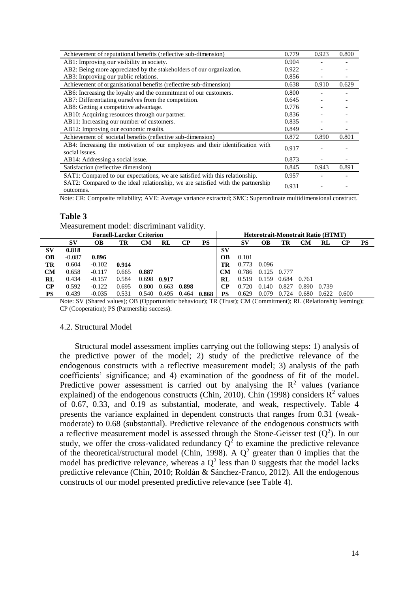| Achievement of reputational benefits (reflective sub-dimension)                                 | 0.779 | 0.923 | 0.800 |
|-------------------------------------------------------------------------------------------------|-------|-------|-------|
| AB1: Improving our visibility in society.                                                       | 0.904 |       |       |
| AB2: Being more appreciated by the stakeholders of our organization.                            | 0.922 |       |       |
| AB3: Improving our public relations.                                                            | 0.856 |       |       |
| Achievement of organisational benefits (reflective sub-dimension)                               | 0.638 | 0.910 | 0.629 |
| AB6: Increasing the loyalty and the commitment of our customers.                                | 0.800 |       |       |
| AB7: Differentiating ourselves from the competition.                                            | 0.645 |       |       |
| AB8: Getting a competitive advantage.                                                           | 0.776 |       |       |
| AB10: Acquiring resources through our partner.                                                  | 0.836 |       |       |
| AB11: Increasing our number of customers.                                                       | 0.835 |       |       |
| AB12: Improving our economic results.                                                           | 0.849 |       |       |
| Achievement of societal benefits (reflective sub-dimension)                                     | 0.872 | 0.890 | 0.801 |
| AB4: Increasing the motivation of our employees and their identification with<br>social issues. | 0.917 |       |       |
| AB14: Addressing a social issue.                                                                | 0.873 |       |       |
| Satisfaction (reflective dimension)                                                             | 0.845 | 0.943 | 0.891 |
| SAT1: Compared to our expectations, we are satisfied with this relationship.                    | 0.957 |       |       |
| SAT2: Compared to the ideal relationship, we are satisfied with the partnership<br>outcomes.    | 0.931 |       |       |

Note: CR: Composite reliability; AVE: Average variance extracted; SMC: Superordinate multidimensional construct.

#### **Table 3**

Measurement model: discriminant validity.

| <b>Fornell-Larcker Criterion</b> |          |          |       |       |       | <b>Heterotrait-Monotrait Ratio (HTMT)</b> |           |           |       |           |       |       |       |          |           |
|----------------------------------|----------|----------|-------|-------|-------|-------------------------------------------|-----------|-----------|-------|-----------|-------|-------|-------|----------|-----------|
|                                  | SV       | OВ       | TR    | CМ    | RL    | CР                                        | <b>PS</b> |           | SV    | <b>OB</b> | TR    | CМ    | RL    | $\bf CP$ | <b>PS</b> |
| SV                               | 0.818    |          |       |       |       |                                           |           | <b>SV</b> |       |           |       |       |       |          |           |
| OВ                               | $-0.087$ | 0.896    |       |       |       |                                           |           | <b>OB</b> | 0.101 |           |       |       |       |          |           |
| TR                               | 0.604    | $-0.102$ | 0.914 |       |       |                                           |           | TR        | 0.773 | 0.096     |       |       |       |          |           |
| <b>CM</b>                        | 0.658    | $-0.117$ | 0.665 | 0.887 |       |                                           |           | <b>CM</b> | 0.786 | 0.125     | 0.777 |       |       |          |           |
| RL                               | 0.434    | $-0.157$ | 0.584 | 0.698 | 0.917 |                                           |           | RL        | 0.519 | 0.159     | 0.684 | 0.761 |       |          |           |
| $\bf CP$                         | 0.592    | $-0.122$ | 0.695 | 0.800 | 0.663 | 0.898                                     |           | $\bf CP$  | 0.720 | 0.140     | 0.827 | 0.890 | 0.739 |          |           |
| PS                               | 0.439    | $-0.035$ | 0.531 | 0.540 | 0.495 | 0.464                                     | 0.868     | PS        | 0.629 | 0.079     | 0.724 | 0.680 | 0.622 | 0.600    |           |

Note: SV (Shared values); OB (Opportunistic behaviour); TR (Trust); CM (Commitment); RL (Relationship learning); CP (Cooperation); PS (Partnership success).

#### 4.2. Structural Model

Structural model assessment implies carrying out the following steps: 1) analysis of the predictive power of the model; 2) study of the predictive relevance of the endogenous constructs with a reflective measurement model; 3) analysis of the path coefficients' significance; and 4) examination of the goodness of fit of the model. Predictive power assessment is carried out by analysing the  $\mathbb{R}^2$  values (variance explained) of the endogenous constructs (Chin, 2010). Chin (1998) considers  $\mathbb{R}^2$  values of 0.67, 0.33, and 0.19 as substantial, moderate, and weak, respectively. Table 4 presents the variance explained in dependent constructs that ranges from 0.31 (weakmoderate) to 0.68 (substantial). Predictive relevance of the endogenous constructs with a reflective measurement model is assessed through the Stone-Geisser test  $(Q^2)$ . In our study, we offer the cross-validated redundancy  $Q^2$  to examine the predictive relevance of the theoretical/structural model (Chin, 1998). A  $Q^2$  greater than 0 implies that the model has predictive relevance, whereas a  $Q^2$  less than 0 suggests that the model lacks predictive relevance (Chin, 2010; Roldán & Sánchez-Franco, 2012). All the endogenous constructs of our model presented predictive relevance (see Table 4).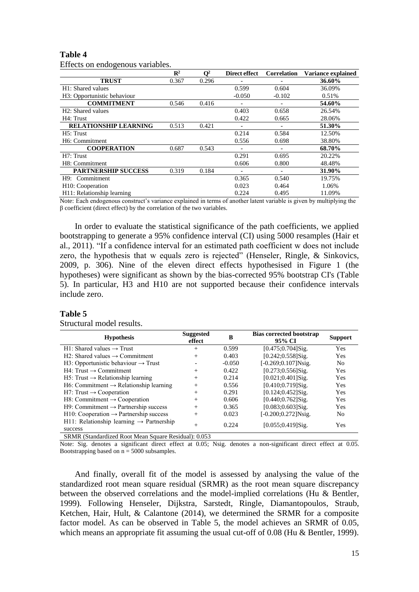#### **Table 4**

Effects on endogenous variables.

|                                | $\mathbb{R}^2$ | $\mathbf{O}^2$ | Direct effect | <b>Correlation</b> | Variance explained |
|--------------------------------|----------------|----------------|---------------|--------------------|--------------------|
| <b>TRUST</b>                   | 0.367          | 0.296          |               |                    | 36.60%             |
| H1: Shared values              |                |                | 0.599         | 0.604              | 36.09%             |
| H3: Opportunistic behaviour    |                |                | $-0.050$      | $-0.102$           | 0.51%              |
| <b>COMMITMENT</b>              | 0.546          | 0.416          |               |                    | 54.60%             |
| H <sub>2</sub> : Shared values |                |                | 0.403         | 0.658              | 26.54%             |
| H4: Trust                      |                |                | 0.422         | 0.665              | 28.06%             |
| <b>RELATIONSHIP LEARNING</b>   | 0.513          | 0.421          |               |                    | 51.30%             |
| H5: Trust                      |                |                | 0.214         | 0.584              | 12.50%             |
| H <sub>6</sub> : Commitment    |                |                | 0.556         | 0.698              | 38.80%             |
| <b>COOPERATION</b>             | 0.687          | 0.543          |               |                    | 68.70%             |
| H7: Trust                      |                |                | 0.291         | 0.695              | 20.22%             |
| H8: Commitment                 |                |                | 0.606         | 0.800              | 48.48%             |
| <b>PARTNERSHIP SUCCESS</b>     | 0.319          | 0.184          |               |                    | 31.90%             |
| Commitment<br>H9:              |                |                | 0.365         | 0.540              | 19.75%             |
| H <sub>10</sub> : Cooperation  |                |                | 0.023         | 0.464              | 1.06%              |
| H11: Relationship learning     |                |                | 0.224         | 0.495              | 11.09%             |

Note: Each endogenous construct's variance explained in terms of another latent variable is given by multiplying the  $\beta$  coefficient (direct effect) by the correlation of the two variables.

In order to evaluate the statistical significance of the path coefficients, we applied bootstrapping to generate a 95% confidence interval (CI) using 5000 resamples (Hair et al., 2011). "If a confidence interval for an estimated path coefficient w does not include zero, the hypothesis that w equals zero is rejected" (Henseler, Ringle, & Sinkovics, 2009, p. 306). Nine of the eleven direct effects hypothesised in Figure 1 (the hypotheses) were significant as shown by the bias-corrected 95% bootstrap CI's (Table 5). In particular, H3 and H10 are not supported because their confidence intervals include zero.

#### **Table 5**

| <b>Hypothesis</b>                                               | <b>Suggested</b><br>effect | B        | <b>Bias corrected bootstrap</b><br>95% CI | Support        |
|-----------------------------------------------------------------|----------------------------|----------|-------------------------------------------|----------------|
| $H1:$ Shared values $\rightarrow$ Trust                         | $^{+}$                     | 0.599    | $[0.475; 0.704]$ Sig.                     | <b>Yes</b>     |
| $H2: Shared values \rightarrow Committment$                     | $^{+}$                     | 0.403    | $[0.242; 0.558]$ Sig.                     | <b>Yes</b>     |
| H3: Opportunistic behaviour $\rightarrow$ Trust                 |                            | $-0.050$ | $[-0.269; 0.107]$ Nsig.                   | N <sub>0</sub> |
| $H4$ : Trust $\rightarrow$ Commitment                           | $^{+}$                     | 0.422    | $[0.273; 0.556]$ Sig.                     | <b>Yes</b>     |
| $H5$ : Trust $\rightarrow$ Relationship learning                | $^{+}$                     | 0.214    | $[0.021; 0.401]$ Sig.                     | <b>Yes</b>     |
| $H6$ : Commitment $\rightarrow$ Relationship learning           | $^{+}$                     | 0.556    | $[0.410; 0.719]$ Sig.                     | Yes            |
| $H7: Trust \rightarrow Cooperation$                             | $^{+}$                     | 0.291    | $[0.124; 0.452]$ Sig.                     | <b>Yes</b>     |
| H8: Commitment $\rightarrow$ Cooperation                        | $^{+}$                     | 0.606    | $[0.440; 0.762]$ Sig.                     | Yes            |
| $H9:$ Commitment $\rightarrow$ Partnership success              | $^{+}$                     | 0.365    | $[0.083; 0.603]$ Sig.                     | <b>Yes</b>     |
| $H10$ : Cooperation $\rightarrow$ Partnership success           | $^{+}$                     | 0.023    | [-0.200;0.272]Nsig.                       | N <sub>0</sub> |
| H11: Relationship learning $\rightarrow$ Partnership<br>success | $^{+}$                     | 0.224    | $[0.055; 0.419]$ Sig.                     | <b>Yes</b>     |

#### Structural model results.

SRMR (Standardized Root Mean Square Residual): 0.053

Note: Sig. denotes a significant direct effect at 0.05; Nsig. denotes a non-significant direct effect at 0.05. Bootstrapping based on  $n = 5000$  subsamples.

And finally, overall fit of the model is assessed by analysing the value of the standardized root mean square residual (SRMR) as the root mean square discrepancy between the observed correlations and the model-implied correlations (Hu & Bentler, 1999). Following Henseler, Dijkstra, Sarstedt, Ringle, Diamantopoulos, Straub, Ketchen, Hair, Hult, & Calantone (2014), we determined the SRMR for a composite factor model. As can be observed in Table 5, the model achieves an SRMR of 0.05, which means an appropriate fit assuming the usual cut-off of 0.08 (Hu & Bentler, 1999).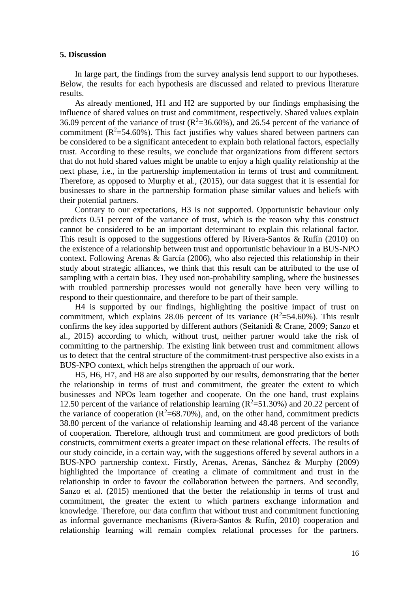#### **5. Discussion**

In large part, the findings from the survey analysis lend support to our hypotheses. Below, the results for each hypothesis are discussed and related to previous literature results.

As already mentioned, H1 and H2 are supported by our findings emphasising the influence of shared values on trust and commitment, respectively. Shared values explain 36.09 percent of the variance of trust  $(R^2=36.60\%)$ , and 26.54 percent of the variance of commitment  $(R^2=54.60\%)$ . This fact justifies why values shared between partners can be considered to be a significant antecedent to explain both relational factors, especially trust. According to these results, we conclude that organizations from different sectors that do not hold shared values might be unable to enjoy a high quality relationship at the next phase, i.e., in the partnership implementation in terms of trust and commitment. Therefore, as opposed to Murphy et al., (2015), our data suggest that it is essential for businesses to share in the partnership formation phase similar values and beliefs with their potential partners.

Contrary to our expectations, H3 is not supported. Opportunistic behaviour only predicts 0.51 percent of the variance of trust, which is the reason why this construct cannot be considered to be an important determinant to explain this relational factor. This result is opposed to the suggestions offered by Rivera-Santos & Rufín (2010) on the existence of a relationship between trust and opportunistic behaviour in a BUS-NPO context. Following Arenas & García (2006), who also rejected this relationship in their study about strategic alliances, we think that this result can be attributed to the use of sampling with a certain bias. They used non-probability sampling, where the businesses with troubled partnership processes would not generally have been very willing to respond to their questionnaire, and therefore to be part of their sample.

H4 is supported by our findings, highlighting the positive impact of trust on commitment, which explains 28.06 percent of its variance  $(R^2=54.60\%)$ . This result confirms the key idea supported by different authors (Seitanidi & Crane, 2009; Sanzo et al., 2015) according to which, without trust, neither partner would take the risk of committing to the partnership. The existing link between trust and commitment allows us to detect that the central structure of the commitment-trust perspective also exists in a BUS-NPO context, which helps strengthen the approach of our work.

H5, H6, H7, and H8 are also supported by our results, demonstrating that the better the relationship in terms of trust and commitment, the greater the extent to which businesses and NPOs learn together and cooperate. On the one hand, trust explains 12.50 percent of the variance of relationship learning ( $R^2$ =51.30%) and 20.22 percent of the variance of cooperation  $(R^2=68.70\%)$ , and, on the other hand, commitment predicts 38.80 percent of the variance of relationship learning and 48.48 percent of the variance of cooperation. Therefore, although trust and commitment are good predictors of both constructs, commitment exerts a greater impact on these relational effects. The results of our study coincide, in a certain way, with the suggestions offered by several authors in a BUS-NPO partnership context. Firstly, Arenas, Arenas, Sánchez & Murphy (2009) highlighted the importance of creating a climate of commitment and trust in the relationship in order to favour the collaboration between the partners. And secondly, Sanzo et al. (2015) mentioned that the better the relationship in terms of trust and commitment, the greater the extent to which partners exchange information and knowledge. Therefore, our data confirm that without trust and commitment functioning as informal governance mechanisms (Rivera-Santos & Rufín, 2010) cooperation and relationship learning will remain complex relational processes for the partners.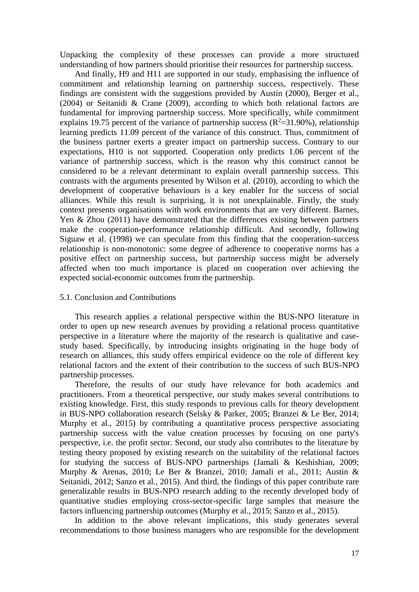Unpacking the complexity of these processes can provide a more structured understanding of how partners should prioritise their resources for partnership success.

And finally, H9 and H11 are supported in our study, emphasising the influence of commitment and relationship learning on partnership success, respectively. These findings are consistent with the suggestions provided by Austin (2000), Berger et al., (2004) or Seitanidi & Crane (2009), according to which both relational factors are fundamental for improving partnership success. More specifically, while commitment explains 19.75 percent of the variance of partnership success ( $R^2$ =31.90%), relationship learning predicts 11.09 percent of the variance of this construct. Thus, commitment of the business partner exerts a greater impact on partnership success. Contrary to our expectations, H10 is not supported. Cooperation only predicts 1.06 percent of the variance of partnership success, which is the reason why this construct cannot be considered to be a relevant determinant to explain overall partnership success. This contrasts with the arguments presented by Wilson et al. (2010), according to which the development of cooperative behaviours is a key enabler for the success of social alliances. While this result is surprising, it is not unexplainable. Firstly, the study context presents organisations with work environments that are very different. Barnes, Yen & Zhou (2011) have demonstrated that the differences existing between partners make the cooperation-performance relationship difficult. And secondly, following Siguaw et al. (1998) we can speculate from this finding that the cooperation-success relationship is non-monotonic: some degree of adherence to cooperative norms has a positive effect on partnership success, but partnership success might be adversely affected when too much importance is placed on cooperation over achieving the expected social-economic outcomes from the partnership.

# 5.1. Conclusion and Contributions

This research applies a relational perspective within the BUS-NPO literature in order to open up new research avenues by providing a relational process quantitative perspective in a literature where the majority of the research is qualitative and casestudy based. Specifically, by introducing insights originating in the huge body of research on alliances, this study offers empirical evidence on the role of different key relational factors and the extent of their contribution to the success of such BUS-NPO partnership processes.

Therefore, the results of our study have relevance for both academics and practitioners. From a theoretical perspective, our study makes several contributions to existing knowledge. First, this study responds to previous calls for theory development in BUS-NPO collaboration research (Selsky & Parker, 2005; Branzei & Le Ber, 2014; Murphy et al., 2015) by contributing a quantitative process perspective associating partnership success with the value creation processes by focusing on one party's perspective, i.e. the profit sector. Second, our study also contributes to the literature by testing theory proposed by existing research on the suitability of the relational factors for studying the success of BUS-NPO partnerships (Jamali & Keshishian, 2009; Murphy & Arenas, 2010; Le Ber & Branzei, 2010; Jamali et al., 2011; Austin & Seitanidi, 2012; Sanzo et al., 2015). And third, the findings of this paper contribute rare generalizable results in BUS-NPO research adding to the recently developed body of quantitative studies employing cross-sector-specific large samples that measure the factors influencing partnership outcomes (Murphy et al., 2015; Sanzo et al., 2015).

In addition to the above relevant implications, this study generates several recommendations to those business managers who are responsible for the development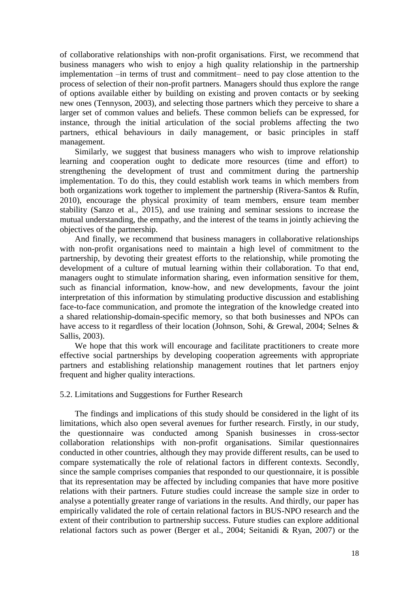of collaborative relationships with non-profit organisations. First, we recommend that business managers who wish to enjoy a high quality relationship in the partnership implementation –in terms of trust and commitment– need to pay close attention to the process of selection of their non-profit partners. Managers should thus explore the range of options available either by building on existing and proven contacts or by seeking new ones (Tennyson, 2003), and selecting those partners which they perceive to share a larger set of common values and beliefs. These common beliefs can be expressed, for instance, through the initial articulation of the social problems affecting the two partners, ethical behaviours in daily management, or basic principles in staff management.

Similarly, we suggest that business managers who wish to improve relationship learning and cooperation ought to dedicate more resources (time and effort) to strengthening the development of trust and commitment during the partnership implementation. To do this, they could establish work teams in which members from both organizations work together to implement the partnership (Rivera-Santos & Rufín, 2010), encourage the physical proximity of team members, ensure team member stability (Sanzo et al., 2015), and use training and seminar sessions to increase the mutual understanding, the empathy, and the interest of the teams in jointly achieving the objectives of the partnership.

And finally, we recommend that business managers in collaborative relationships with non-profit organisations need to maintain a high level of commitment to the partnership, by devoting their greatest efforts to the relationship, while promoting the development of a culture of mutual learning within their collaboration. To that end, managers ought to stimulate information sharing, even information sensitive for them, such as financial information, know-how, and new developments, favour the joint interpretation of this information by stimulating productive discussion and establishing face-to-face communication, and promote the integration of the knowledge created into a shared relationship-domain-specific memory, so that both businesses and NPOs can have access to it regardless of their location (Johnson, Sohi, & Grewal, 2004; Selnes & Sallis, 2003).

We hope that this work will encourage and facilitate practitioners to create more effective social partnerships by developing cooperation agreements with appropriate partners and establishing relationship management routines that let partners enjoy frequent and higher quality interactions.

#### 5.2. Limitations and Suggestions for Further Research

The findings and implications of this study should be considered in the light of its limitations, which also open several avenues for further research. Firstly, in our study, the questionnaire was conducted among Spanish businesses in cross-sector collaboration relationships with non-profit organisations. Similar questionnaires conducted in other countries, although they may provide different results, can be used to compare systematically the role of relational factors in different contexts. Secondly, since the sample comprises companies that responded to our questionnaire, it is possible that its representation may be affected by including companies that have more positive relations with their partners. Future studies could increase the sample size in order to analyse a potentially greater range of variations in the results. And thirdly, our paper has empirically validated the role of certain relational factors in BUS-NPO research and the extent of their contribution to partnership success. Future studies can explore additional relational factors such as power (Berger et al., 2004; Seitanidi & Ryan, 2007) or the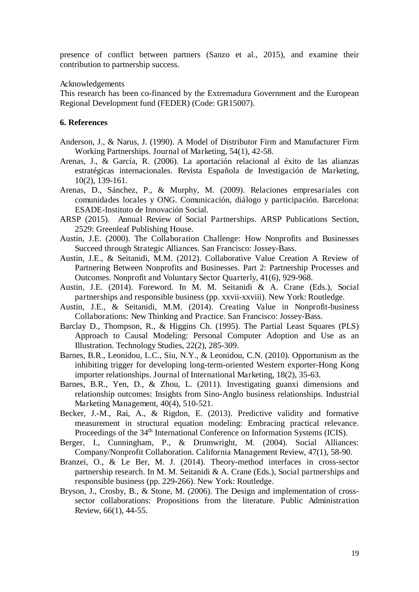presence of conflict between partners (Sanzo et al., 2015), and examine their contribution to partnership success.

#### Acknowledgements

This research has been co-financed by the Extremadura Government and the European Regional Development fund (FEDER) (Code: GR15007).

## **6. References**

- Anderson, J., & Narus, J. (1990). A Model of Distributor Firm and Manufacturer Firm Working Partnerships. Journal of Marketing, 54(1), 42-58.
- Arenas, J., & García, R. (2006). La aportación relacional al éxito de las alianzas estratégicas internacionales. Revista Española de Investigación de Marketing, 10(2), 139-161.
- Arenas, D., Sánchez, P., & Murphy, M. (2009). Relaciones empresariales con comunidades locales y ONG. Comunicación, diálogo y participación. Barcelona: ESADE-Instituto de Innovación Social.
- ARSP (2015). Annual Review of Social Partnerships. ARSP Publications Section, 2529: Greenleaf Publishing House.
- Austin, J.E. (2000). The Collaboration Challenge: How Nonprofits and Businesses Succeed through Strategic Alliances. San Francisco: Jossey-Bass.
- Austin, J.E., & Seitanidi, M.M. (2012). Collaborative Value Creation A Review of Partnering Between Nonprofits and Businesses. Part 2: Partnership Processes and Outcomes. Nonprofit and Voluntary Sector Quarterly, 41(6), 929-968.
- Austin, J.E. (2014). Foreword. In M. M. Seitanidi & A. Crane (Eds.), Social partnerships and responsible business (pp. xxvii-xxviii). New York: Routledge.
- Austin, J.E., & Seitanidi, M.M. (2014). Creating Value in Nonprofit-business Collaborations: New Thinking and Practice. San Francisco: Jossey-Bass.
- Barclay D., Thompson, R., & Higgins Ch. (1995). The Partial Least Squares (PLS) Approach to Causal Modeling: Personal Computer Adoption and Use as an Illustration. Technology Studies, 22(2), 285-309.
- Barnes, B.R., Leonidou, L.C., Siu, N.Y., & Leonidou, C.N. (2010). Opportunism as the inhibiting trigger for developing long-term-oriented Western exporter-Hong Kong importer relationships. Journal of International Marketing, 18(2), 35-63.
- Barnes, B.R., Yen, D., & Zhou, L. (2011). Investigating guanxi dimensions and relationship outcomes: Insights from Sino-Anglo business relationships. Industrial Marketing Management, 40(4), 510-521.
- Becker, J.-M., Rai, A., & Rigdon, E. (2013). Predictive validity and formative measurement in structural equation modeling: Embracing practical relevance. Proceedings of the 34<sup>th</sup> International Conference on Information Systems (ICIS).
- Berger, I., Cunningham, P., & Drumwright, M. (2004). Social Alliances: Company/Nonprofit Collaboration. California Management Review, 47(1), 58-90.
- Branzei, O., & Le Ber, M. J. (2014). Theory-method interfaces in cross-sector partnership research. In M. M. Seitanidi & A. Crane (Eds.), Social partnerships and responsible business (pp. 229-266). New York: Routledge.
- Bryson, J., Crosby, B., & Stone, M. (2006). The Design and implementation of crosssector collaborations: Propositions from the literature. Public Administration Review, 66(1), 44-55.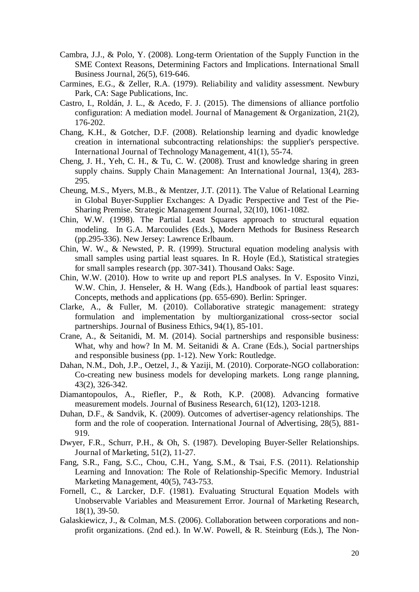- Cambra, J.J., & Polo, Y. (2008). Long-term Orientation of the Supply Function in the SME Context Reasons, Determining Factors and Implications. International Small Business Journal, 26(5), 619-646.
- Carmines, E.G., & Zeller, R.A. (1979). Reliability and validity assessment. Newbury Park, CA: Sage Publications, Inc.
- Castro, I., Roldán, J. L., & Acedo, F. J. (2015). The dimensions of alliance portfolio configuration: A mediation model. Journal of Management & Organization, 21(2), 176-202.
- Chang, K.H., & Gotcher, D.F. (2008). Relationship learning and dyadic knowledge creation in international subcontracting relationships: the supplier's perspective. International Journal of Technology Management, 41(1), 55-74.
- Cheng, J. H., Yeh, C. H., & Tu, C. W. (2008). Trust and knowledge sharing in green supply chains. Supply Chain Management: An International Journal, 13(4), 283- 295.
- Cheung, M.S., Myers, M.B., & Mentzer, J.T. (2011). The Value of Relational Learning in Global Buyer-Supplier Exchanges: A Dyadic Perspective and Test of the Pie-Sharing Premise. Strategic Management Journal, 32(10), 1061-1082.
- Chin, W.W. (1998). The Partial Least Squares approach to structural equation modeling. In G.A. Marcoulides (Eds.), Modern Methods for Business Research (pp.295-336). New Jersey: Lawrence Erlbaum.
- Chin, W. W., & Newsted, P. R. (1999). Structural equation modeling analysis with small samples using partial least squares. In R. Hoyle (Ed.), Statistical strategies for small samples research (pp. 307-341). Thousand Oaks: Sage.
- Chin, W.W. (2010). How to write up and report PLS analyses. In V. Esposito Vinzi, W.W. Chin, J. Henseler, & H. Wang (Eds.), Handbook of partial least squares: Concepts, methods and applications (pp. 655-690). Berlin: Springer.
- Clarke, A., & Fuller, M. (2010). Collaborative strategic management: strategy formulation and implementation by multiorganizational cross-sector social partnerships. Journal of Business Ethics, 94(1), 85-101.
- Crane, A., & Seitanidi, M. M. (2014). Social partnerships and responsible business: What, why and how? In M. M. Seitanidi & A. Crane (Eds.), Social partnerships and responsible business (pp. 1-12). New York: Routledge.
- Dahan, N.M., Doh, J.P., Oetzel, J., & Yaziji, M. (2010). Corporate-NGO collaboration: Co-creating new business models for developing markets. Long range planning, 43(2), 326-342.
- Diamantopoulos, A., Riefler, P., & Roth, K.P. (2008). Advancing formative measurement models. Journal of Business Research, 61(12), 1203-1218.
- Duhan, D.F., & Sandvik, K. (2009). Outcomes of advertiser-agency relationships. The form and the role of cooperation. International Journal of Advertising, 28(5), 881- 919.
- Dwyer, F.R., Schurr, P.H., & Oh, S. (1987). Developing Buyer-Seller Relationships. Journal of Marketing, 51(2), 11-27.
- Fang, S.R., Fang, S.C., Chou, C.H., Yang, S.M., & Tsai, F.S. (2011). Relationship Learning and Innovation: The Role of Relationship-Specific Memory. Industrial Marketing Management, 40(5), 743-753.
- Fornell, C., & Larcker, D.F. (1981). Evaluating Structural Equation Models with Unobservable Variables and Measurement Error. Journal of Marketing Research, 18(1), 39-50.
- Galaskiewicz, J., & Colman, M.S. (2006). Collaboration between corporations and nonprofit organizations. (2nd ed.). In W.W. Powell, & R. Steinburg (Eds.), The Non-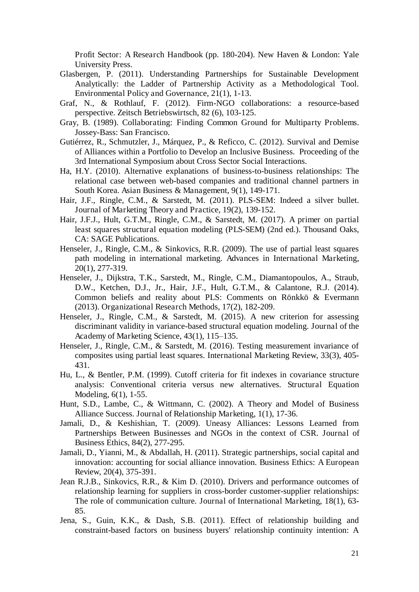Profit Sector: A Research Handbook (pp. 180-204). New Haven & London: Yale University Press.

- Glasbergen, P. (2011). Understanding Partnerships for Sustainable Development Analytically: the Ladder of Partnership Activity as a Methodological Tool. Environmental Policy and Governance, 21(1), 1-13.
- Graf, N., & Rothlauf, F. (2012). Firm-NGO collaborations: a resource-based perspective. Zeitsch Betriebswirtsch, 82 (6), 103-125.
- Gray, B. (1989). Collaborating: Finding Common Ground for Multiparty Problems. Jossey-Bass: San Francisco.
- Gutiérrez, R., Schmutzler, J., Márquez, P., & Reficco, C. (2012). Survival and Demise of Alliances within a Portfolio to Develop an Inclusive Business. Proceeding of the 3rd International Symposium about Cross Sector Social Interactions.
- Ha, H.Y. (2010). Alternative explanations of business-to-business relationships: The relational case between web-based companies and traditional channel partners in South Korea. Asian Business & Management, 9(1), 149-171.
- Hair, J.F., Ringle, C.M., & Sarstedt, M. (2011). PLS-SEM: Indeed a silver bullet. Journal of Marketing Theory and Practice, 19(2), 139-152.
- Hair, J.F.J., Hult, G.T.M., Ringle, C.M., & Sarstedt, M. (2017). A primer on partial least squares structural equation modeling (PLS-SEM) (2nd ed.). Thousand Oaks, CA: SAGE Publications.
- Henseler, J., Ringle, C.M., & Sinkovics, R.R. (2009). The use of partial least squares path modeling in international marketing. Advances in International Marketing, 20(1), 277-319.
- Henseler, J., Dijkstra, T.K., Sarstedt, M., Ringle, C.M., Diamantopoulos, A., Straub, D.W., Ketchen, D.J., Jr., Hair, J.F., Hult, G.T.M., & Calantone, R.J. (2014). Common beliefs and reality about PLS: Comments on Rönkkö & Evermann (2013). Organizational Research Methods, 17(2), 182-209.
- Henseler, J., Ringle, C.M., & Sarstedt, M. (2015). A new criterion for assessing discriminant validity in variance-based structural equation modeling. Journal of the Academy of Marketing Science, 43(1), 115–135.
- Henseler, J., Ringle, C.M., & Sarstedt, M. (2016). Testing measurement invariance of composites using partial least squares. International Marketing Review, 33(3), 405- 431.
- Hu, L., & Bentler, P.M. (1999). Cutoff criteria for fit indexes in covariance structure analysis: Conventional criteria versus new alternatives. Structural Equation Modeling, 6(1), 1-55.
- Hunt, S.D., Lambe, C., & Wittmann, C. (2002). A Theory and Model of Business Alliance Success. Journal of Relationship Marketing, 1(1), 17-36.
- Jamali, D., & Keshishian, T. (2009). Uneasy Alliances: Lessons Learned from Partnerships Between Businesses and NGOs in the context of CSR. Journal of Business Ethics, 84(2), 277-295.
- Jamali, D., Yianni, M., & Abdallah, H. (2011). Strategic partnerships, social capital and innovation: accounting for social alliance innovation. Business Ethics: A European Review, 20(4), 375-391.
- Jean R.J.B., Sinkovics, R.R., & Kim D. (2010). Drivers and performance outcomes of relationship learning for suppliers in cross-border customer-supplier relationships: The role of communication culture. Journal of International Marketing, 18(1), 63- 85.
- Jena, S., Guin, K.K., & Dash, S.B. (2011). Effect of relationship building and constraint-based factors on business buyers' relationship continuity intention: A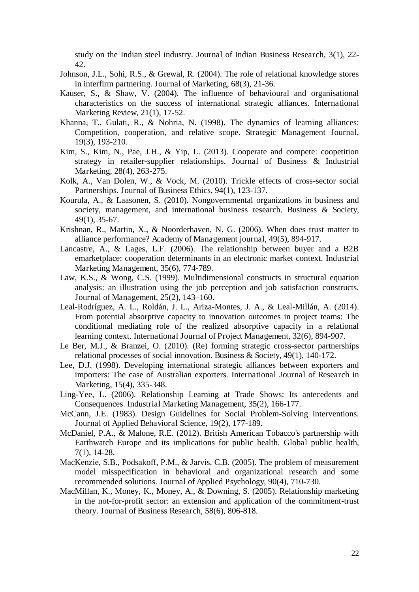study on the Indian steel industry. Journal of Indian Business Research, 3(1), 22- 42.

- Johnson, J.L., Sohi, R.S., & Grewal, R. (2004). The role of relational knowledge stores in interfirm partnering. Journal of Marketing, 68(3), 21-36.
- Kauser, S., & Shaw, V. (2004). The influence of behavioural and organisational characteristics on the success of international strategic alliances. International Marketing Review, 21(1), 17-52.
- Khanna, T., Gulati, R., & Nohria, N. (1998). The dynamics of learning alliances: Competition, cooperation, and relative scope. Strategic Management Journal, 19(3), 193-210.
- Kim, S., Kim, N., Pae, J.H., & Yip, L. (2013). Cooperate and compete: coopetition strategy in retailer-supplier relationships. Journal of Business & Industrial Marketing, 28(4), 263-275.
- Kolk, A., Van Dolen, W., & Vock, M. (2010). Trickle effects of cross-sector social Partnerships. Journal of Business Ethics, 94(1), 123-137.
- Kourula, A., & Laasonen, S. (2010). Nongovernmental organizations in business and society, management, and international business research. Business & Society, 49(1), 35-67.
- Krishnan, R., Martin, X., & Noorderhaven, N. G. (2006). When does trust matter to alliance performance? Academy of Management journal, 49(5), 894-917.
- Lancastre, A., & Lages, L.F. (2006). The relationship between buyer and a B2B emarketplace: cooperation determinants in an electronic market context. Industrial Marketing Management, 35(6), 774-789.
- Law, K.S., & Wong, C.S. (1999). Multidimensional constructs in structural equation analysis: an illustration using the job perception and job satisfaction constructs. Journal of Management, 25(2), 143–160.
- Leal-Rodríguez, A. L., Roldán, J. L., Ariza-Montes, J. A., & Leal-Millán, A. (2014). From potential absorptive capacity to innovation outcomes in project teams: The conditional mediating role of the realized absorptive capacity in a relational learning context. International Journal of Project Management, 32(6), 894-907.
- Le Ber, M.J., & Branzei, O. (2010). (Re) forming strategic cross-sector partnerships relational processes of social innovation. Business & Society, 49(1), 140-172.
- Lee, D.J. (1998). Developing international strategic alliances between exporters and importers: The case of Australian exporters. International Journal of Research in Marketing, 15(4), 335-348.
- Ling-Yee, L. (2006). Relationship Learning at Trade Shows: Its antecedents and Consequences. Industrial Marketing Management, 35(2), 166-177.
- McCann, J.E. (1983). Design Guidelines for Social Problem-Solving Interventions. Journal of Applied Behavioral Science, 19(2), 177-189.
- McDaniel, P.A., & Malone, R.E. (2012). British American Tobacco's partnership with Earthwatch Europe and its implications for public health. Global public health, 7(1), 14-28.
- MacKenzie, S.B., Podsakoff, P.M., & Jarvis, C.B. (2005). The problem of measurement model misspecification in behavioral and organizational research and some recommended solutions. Journal of Applied Psychology, 90(4), 710-730.
- MacMillan, K., Money, K., Money, A., & Downing, S. (2005). Relationship marketing in the not-for-profit sector: an extension and application of the commitment-trust theory. Journal of Business Research, 58(6), 806-818.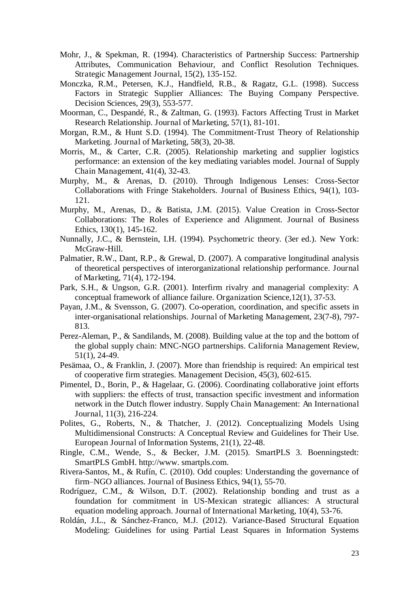- Mohr, J., & Spekman, R. (1994). Characteristics of Partnership Success: Partnership Attributes, Communication Behaviour, and Conflict Resolution Techniques. Strategic Management Journal, 15(2), 135-152.
- Monczka, R.M., Petersen, K.J., Handfield, R.B., & Ragatz, G.L. (1998). Success Factors in Strategic Supplier Alliances: The Buying Company Perspective. Decision Sciences, 29(3), 553-577.
- Moorman, C., Despandé, R., & Zaltman, G. (1993). Factors Affecting Trust in Market Research Relationship. Journal of Marketing, 57(1), 81-101.
- Morgan, R.M., & Hunt S.D. (1994). The Commitment-Trust Theory of Relationship Marketing. Journal of Marketing, 58(3), 20-38.
- Morris, M., & Carter, C.R. (2005). Relationship marketing and supplier logistics performance: an extension of the key mediating variables model. Journal of Supply Chain Management, 41(4), 32-43.
- Murphy, M., & Arenas, D. (2010). Through Indigenous Lenses: Cross-Sector Collaborations with Fringe Stakeholders. Journal of Business Ethics, 94(1), 103- 121.
- Murphy, M., Arenas, D., & Batista, J.M. (2015). Value Creation in Cross-Sector Collaborations: The Roles of Experience and Alignment. Journal of Business Ethics, 130(1), 145-162.
- Nunnally, J.C., & Bernstein, I.H. (1994). Psychometric theory. (3er ed.). New York: McGraw-Hill.
- Palmatier, R.W., Dant, R.P., & Grewal, D. (2007). A comparative longitudinal analysis of theoretical perspectives of interorganizational relationship performance. Journal of Marketing, 71(4), 172-194.
- Park, S.H., & Ungson, G.R. (2001). Interfirm rivalry and managerial complexity: A conceptual framework of alliance failure. Organization Science,12(1), 37-53.
- Payan, J.M., & Svensson, G. (2007). Co-operation, coordination, and specific assets in inter-organisational relationships. Journal of Marketing Management, 23(7-8), 797- 813.
- Perez-Aleman, P., & Sandilands, M. (2008). Building value at the top and the bottom of the global supply chain: MNC-NGO partnerships. California Management Review, 51(1), 24-49.
- Pesämaa, O., & Franklin, J. (2007). More than friendship is required: An empirical test of cooperative firm strategies. Management Decision, 45(3), 602-615.
- Pimentel, D., Borin, P., & Hagelaar, G. (2006). Coordinating collaborative joint efforts with suppliers: the effects of trust, transaction specific investment and information network in the Dutch flower industry. Supply Chain Management: An International Journal, 11(3), 216-224.
- Polites, G., Roberts, N., & Thatcher, J. (2012). Conceptualizing Models Using Multidimensional Constructs: A Conceptual Review and Guidelines for Their Use. European Journal of Information Systems, 21(1), 22-48.
- Ringle, C.M., Wende, S., & Becker, J.M. (2015). SmartPLS 3. Boenningstedt: SmartPLS GmbH. http://www. smartpls.com.
- Rivera-Santos, M., & Rufín, C. (2010). Odd couples: Understanding the governance of firm–NGO alliances. Journal of Business Ethics, 94(1), 55-70.
- Rodríguez, C.M., & Wilson, D.T. (2002). Relationship bonding and trust as a foundation for commitment in US-Mexican strategic alliances: A structural equation modeling approach. Journal of International Marketing, 10(4), 53-76.
- Roldán, J.L., & Sánchez-Franco, M.J. (2012). Variance-Based Structural Equation Modeling: Guidelines for using Partial Least Squares in Information Systems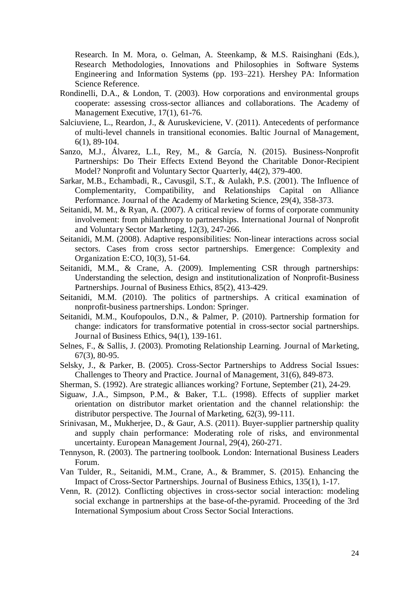Research. In M. Mora, o. Gelman, A. Steenkamp, & M.S. Raisinghani (Eds.), Research Methodologies, Innovations and Philosophies in Software Systems Engineering and Information Systems (pp. 193–221). Hershey PA: Information Science Reference.

- Rondinelli, D.A., & London, T. (2003). How corporations and environmental groups cooperate: assessing cross-sector alliances and collaborations. The Academy of Management Executive, 17(1), 61-76.
- Salciuviene, L., Reardon, J., & Auruskeviciene, V. (2011). Antecedents of performance of multi-level channels in transitional economies. Baltic Journal of Management, 6(1), 89-104.
- Sanzo, M.J., Álvarez, L.I., Rey, M., & García, N. (2015). Business-Nonprofit Partnerships: Do Their Effects Extend Beyond the Charitable Donor-Recipient Model? Nonprofit and Voluntary Sector Quarterly, 44(2), 379-400.
- Sarkar, M.B., Echambadi, R., Cavusgil, S.T., & Aulakh, P.S. (2001). The Influence of Complementarity, Compatibility, and Relationships Capital on Alliance Performance. Journal of the Academy of Marketing Science, 29(4), 358-373.
- Seitanidi, M. M., & Ryan, A. (2007). A critical review of forms of corporate community involvement: from philanthropy to partnerships. International Journal of Nonprofit and Voluntary Sector Marketing, 12(3), 247-266.
- Seitanidi, M.M. (2008). Adaptive responsibilities: Non-linear interactions across social sectors. Cases from cross sector partnerships. Emergence: Complexity and Organization E:CO, 10(3), 51-64.
- Seitanidi, M.M., & Crane, A. (2009). Implementing CSR through partnerships: Understanding the selection, design and institutionalization of Nonprofit-Business Partnerships. Journal of Business Ethics, 85(2), 413-429.
- Seitanidi, M.M. (2010). The politics of partnerships. A critical examination of nonprofit-business partnerships. London: Springer.
- Seitanidi, M.M., Koufopoulos, D.N., & Palmer, P. (2010). Partnership formation for change: indicators for transformative potential in cross-sector social partnerships. Journal of Business Ethics, 94(1), 139-161.
- Selnes, F., & Sallis, J. (2003). Promoting Relationship Learning. Journal of Marketing, 67(3), 80-95.
- Selsky, J., & Parker, B. (2005). Cross-Sector Partnerships to Address Social Issues: Challenges to Theory and Practice. Journal of Management, 31(6), 849-873.
- Sherman, S. (1992). Are strategic alliances working? Fortune, September (21), 24-29.
- Siguaw, J.A., Simpson, P.M., & Baker, T.L. (1998). Effects of supplier market orientation on distributor market orientation and the channel relationship: the distributor perspective. The Journal of Marketing, 62(3), 99-111.
- Srinivasan, M., Mukherjee, D., & Gaur, A.S. (2011). Buyer-supplier partnership quality and supply chain performance: Moderating role of risks, and environmental uncertainty. European Management Journal, 29(4), 260-271.
- Tennyson, R. (2003). The partnering toolbook. London: International Business Leaders Forum.
- Van Tulder, R., Seitanidi, M.M., Crane, A., & Brammer, S. (2015). Enhancing the Impact of Cross-Sector Partnerships. Journal of Business Ethics, 135(1), 1-17.
- Venn, R. (2012). Conflicting objectives in cross-sector social interaction: modeling social exchange in partnerships at the base-of-the-pyramid. Proceeding of the 3rd International Symposium about Cross Sector Social Interactions.